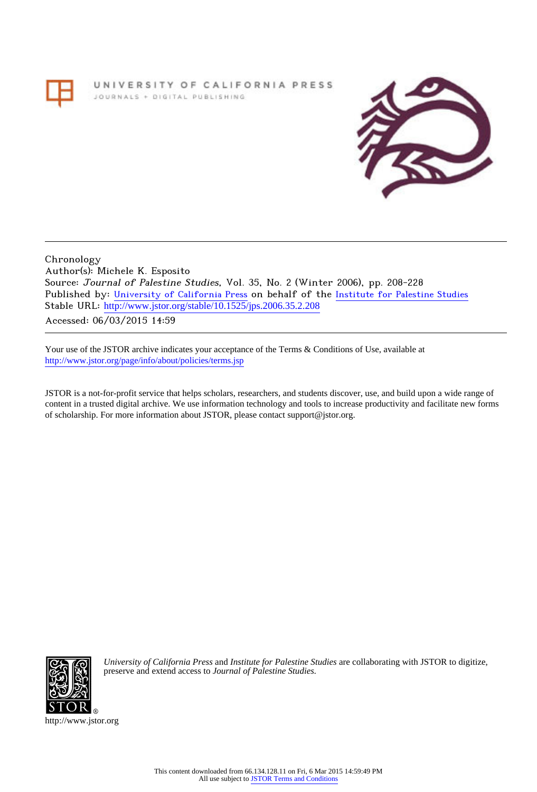# UNIVERSITY OF CALIFORNIA PRESS JOURNALS + DIGITAL PUBLISHING



Chronology Author(s): Michele K. Esposito Source: Journal of Palestine Studies, Vol. 35, No. 2 (Winter 2006), pp. 208-228 Published by: [University of California Press](http://www.jstor.org/action/showPublisher?publisherCode=ucal) on behalf of the [Institute for Palestine Studies](http://www.jstor.org/action/showPublisher?publisherCode=palstud) Stable URL: http://www.jstor.org/stable/10.1525/jps.2006.35.2.208

Accessed: 06/03/2015 14:59

Your use of the JSTOR archive indicates your acceptance of the Terms & Conditions of Use, available at <http://www.jstor.org/page/info/about/policies/terms.jsp>

JSTOR is a not-for-profit service that helps scholars, researchers, and students discover, use, and build upon a wide range of content in a trusted digital archive. We use information technology and tools to increase productivity and facilitate new forms of scholarship. For more information about JSTOR, please contact support@jstor.org.



*University of California Press* and *Institute for Palestine Studies* are collaborating with JSTOR to digitize, preserve and extend access to *Journal of Palestine Studies.*

http://www.jstor.org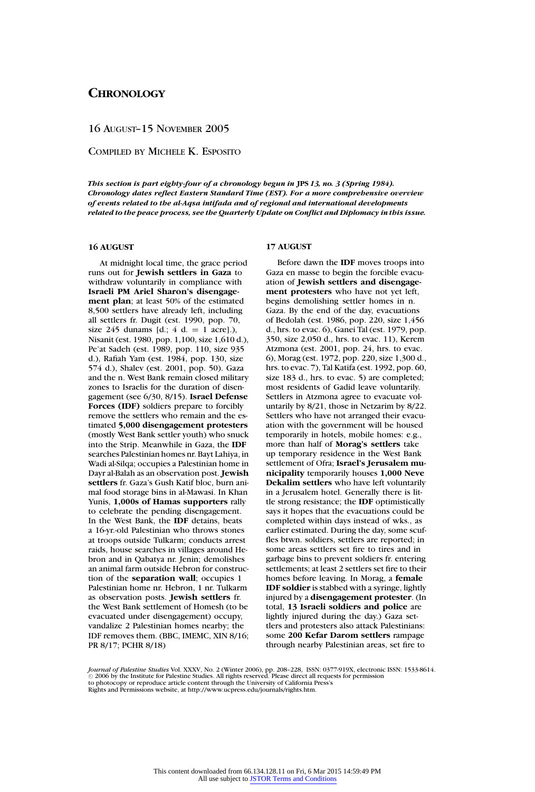16 AUGUST–15 NOVEMBER 2005

COMPILED BY MICHELE K. ESPOSITO

*This section is part eighty-four of a chronology begun in* **JPS** *13, no. 3 (Spring 1984). Chronology dates reflect Eastern Standard Time (EST). For a more comprehensive overview of events related to the al-Aqsa intifada and of regional and international developments related to the peace process, see the Quarterly Update on Conflict and Diplomacy in this issue.*

# **16 AUGUST**

At midnight local time, the grace period runs out for **Jewish settlers in Gaza** to withdraw voluntarily in compliance with **Israeli PM Ariel Sharon's disengagement plan**; at least 50% of the estimated 8,500 settlers have already left, including all settlers fr. Dugit (est. 1990, pop. 70, size 245 dunams  $[d.; 4 d. = 1 arcre].$ ), Nisanit (est. 1980, pop. 1,100, size 1,610 d.), Pe'at Sadeh (est. 1989, pop. 110, size 935 d.), Rafiah Yam (est. 1984, pop. 130, size 574 d.), Shalev (est. 2001, pop. 50). Gaza and the n. West Bank remain closed military zones to Israelis for the duration of disengagement (see 6/30, 8/15). **Israel Defense Forces (IDF)** soldiers prepare to forcibly remove the settlers who remain and the estimated **5,000 disengagement protesters** (mostly West Bank settler youth) who snuck into the Strip. Meanwhile in Gaza, the **IDF** searches Palestinian homes nr. Bayt Lahiya, in Wadi al-Silqa; occupies a Palestinian home in Dayr al-Balah as an observation post. **Jewish settlers** fr. Gaza's Gush Katif bloc, burn animal food storage bins in al-Mawasi. In Khan Yunis, **1,000s of Hamas supporters** rally to celebrate the pending disengagement. In the West Bank, the **IDF** detains, beats a 16-yr.-old Palestinian who throws stones at troops outside Tulkarm; conducts arrest raids, house searches in villages around Hebron and in Qabatya nr. Jenin; demolishes an animal farm outside Hebron for construction of the **separation wall**; occupies 1 Palestinian home nr. Hebron, 1 nr. Tulkarm as observation posts. **Jewish settlers** fr. the West Bank settlement of Homesh (to be evacuated under disengagement) occupy, vandalize 2 Palestinian homes nearby; the IDF removes them. (BBC, IMEMC, XIN 8/16; PR 8/17; PCHR 8/18)

# **17 AUGUST**

Before dawn the **IDF** moves troops into Gaza en masse to begin the forcible evacuation of **Jewish settlers and disengagement protesters** who have not yet left, begins demolishing settler homes in n. Gaza. By the end of the day, evacuations of Bedolah (est. 1986, pop. 220, size 1,456 d., hrs. to evac. 6), Ganei Tal (est. 1979, pop. 350, size 2,050 d., hrs. to evac. 11), Kerem Atzmona (est. 2001, pop. 24, hrs. to evac. 6), Morag (est. 1972, pop. 220, size 1,300 d., hrs. to evac. 7), Tal Katifa (est. 1992, pop. 60, size 183 d., hrs. to evac. 5) are completed; most residents of Gadid leave voluntarily. Settlers in Atzmona agree to evacuate voluntarily by 8/21, those in Netzarim by 8/22. Settlers who have not arranged their evacuation with the government will be housed temporarily in hotels, mobile homes: e.g., more than half of **Morag's settlers** take up temporary residence in the West Bank settlement of Ofra; **Israel's Jerusalem municipality** temporarily houses **1,000 Neve Dekalim settlers** who have left voluntarily in a Jerusalem hotel. Generally there is little strong resistance; the **IDF** optimistically says it hopes that the evacuations could be completed within days instead of wks., as earlier estimated. During the day, some scuffles btwn. soldiers, settlers are reported; in some areas settlers set fire to tires and in garbage bins to prevent soldiers fr. entering settlements; at least 2 settlers set fire to their homes before leaving. In Morag, a **female IDF soldier** is stabbed with a syringe, lightly injured by a **disengagement protester**. (In total, **13 Israeli soldiers and police** are lightly injured during the day.) Gaza settlers and protesters also attack Palestinians: some **200 Kefar Darom settlers** rampage through nearby Palestinian areas, set fire to

*Journal of Palestine Studies* Vol. XXXV, No. 2 (Winter 2006), pp. 208–228, ISSN: 0377-919X, electronic ISSN: 1533-8614.<br>© 2006 by the Institute for Palestine Studies. All rights reserved. Please direct all requests for p to photocopy or reproduce article content through the University of California Press's Rights and Permissions website, at http://www.ucpress.edu/journals/rights.htm.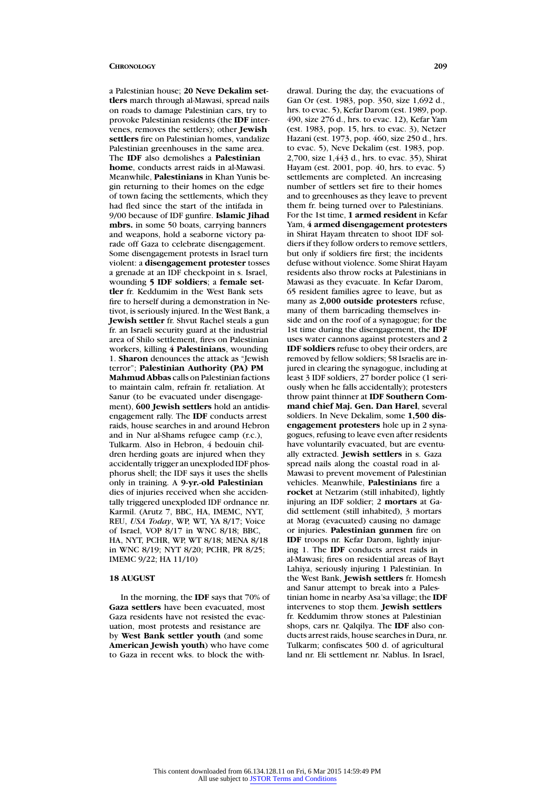a Palestinian house; **20 Neve Dekalim settlers** march through al-Mawasi, spread nails on roads to damage Palestinian cars, try to provoke Palestinian residents (the **IDF** intervenes, removes the settlers); other **Jewish settlers** fire on Palestinian homes, vandalize Palestinian greenhouses in the same area. The **IDF** also demolishes a **Palestinian home**, conducts arrest raids in al-Mawasi. Meanwhile, **Palestinians** in Khan Yunis begin returning to their homes on the edge of town facing the settlements, which they had fled since the start of the intifada in 9/00 because of IDF gunfire. **Islamic Jihad mbrs.** in some 50 boats, carrying banners and weapons, hold a seaborne victory parade off Gaza to celebrate disengagement. Some disengagement protests in Israel turn violent: a **disengagement protester** tosses a grenade at an IDF checkpoint in s. Israel, wounding **5 IDF soldiers**; a **female settler** fr. Keddumim in the West Bank sets fire to herself during a demonstration in Netivot, is seriously injured. In the West Bank, a **Jewish settler** fr. Shvut Rachel steals a gun fr. an Israeli security guard at the industrial area of Shilo settlement, fires on Palestinian workers, killing **4 Palestinians**, wounding 1. **Sharon** denounces the attack as "Jewish terror"; **Palestinian Authority (PA) PM Mahmud Abbas** calls on Palestinian factions to maintain calm, refrain fr. retaliation. At Sanur (to be evacuated under disengagement), **600 Jewish settlers** hold an antidisengagement rally. The **IDF** conducts arrest raids, house searches in and around Hebron and in Nur al-Shams refugee camp (r.c.), Tulkarm. Also in Hebron, 4 bedouin children herding goats are injured when they accidentally trigger an unexploded IDF phosphorus shell; the IDF says it uses the shells only in training. A **9-yr.-old Palestinian** dies of injuries received when she accidentally triggered unexploded IDF ordnance nr. Karmil. (Arutz 7, BBC, HA, IMEMC, NYT, REU, *USA Today*, WP, WT, YA 8/17; Voice of Israel, VOP 8/17 in WNC 8/18; BBC, HA, NYT, PCHR, WP, WT 8/18; MENA 8/18 in WNC 8/19; NYT 8/20; PCHR, PR 8/25; IMEMC 9/22; HA 11/10)

# **18 AUGUST**

In the morning, the **IDF** says that 70% of **Gaza settlers** have been evacuated, most Gaza residents have not resisted the evacuation, most protests and resistance are by **West Bank settler youth** (and some **American Jewish youth**) who have come to Gaza in recent wks. to block the with-

drawal. During the day, the evacuations of Gan Or (est. 1983, pop. 350, size 1,692 d., hrs. to evac. 5), Kefar Darom (est. 1989, pop. 490, size 276 d., hrs. to evac. 12), Kefar Yam (est. 1983, pop. 15, hrs. to evac. 3), Netzer Hazani (est. 1973, pop. 460, size 250 d., hrs. to evac. 5), Neve Dekalim (est. 1983, pop. 2,700, size 1,443 d., hrs. to evac. 35), Shirat Hayam (est. 2001, pop. 40, hrs. to evac. 5) settlements are completed. An increasing number of settlers set fire to their homes and to greenhouses as they leave to prevent them fr. being turned over to Palestinians. For the 1st time, **1 armed resident** in Kefar Yam, **4 armed disengagement protesters** in Shirat Hayam threaten to shoot IDF soldiers if they follow orders to remove settlers, but only if soldiers fire first; the incidents defuse without violence. Some Shirat Hayam residents also throw rocks at Palestinians in Mawasi as they evacuate. In Kefar Darom, 65 resident families agree to leave, but as many as **2,000 outside protesters** refuse, many of them barricading themselves inside and on the roof of a synagogue; for the 1st time during the disengagement, the **IDF** uses water cannons against protesters and **2 IDF soldiers** refuse to obey their orders, are removed by fellow soldiers; 58 Israelis are injured in clearing the synagogue, including at least 3 IDF soldiers, 27 border police (1 seriously when he falls accidentally); protesters throw paint thinner at **IDF Southern Command chief Maj. Gen. Dan Harel**, several soldiers. In Neve Dekalim, some **1,500 disengagement protesters** hole up in 2 synagogues, refusing to leave even after residents have voluntarily evacuated, but are eventually extracted. **Jewish settlers** in s. Gaza spread nails along the coastal road in al-Mawasi to prevent movement of Palestinian vehicles. Meanwhile, **Palestinians** fire a **rocket** at Netzarim (still inhabited), lightly injuring an IDF soldier; 2 **mortars** at Gadid settlement (still inhabited), 3 mortars at Morag (evacuated) causing no damage or injuries. **Palestinian gunmen** fire on **IDF** troops nr. Kefar Darom, lightly injuring 1. The **IDF** conducts arrest raids in al-Mawasi; fires on residential areas of Bayt Lahiya, seriously injuring 1 Palestinian. In the West Bank, **Jewish settlers** fr. Homesh and Sanur attempt to break into a Palestinian home in nearby Asa'sa village; the **IDF** intervenes to stop them. **Jewish settlers** fr. Keddumim throw stones at Palestinian shops, cars nr. Qalqilya. The **IDF** also conducts arrest raids, house searches in Dura, nr. Tulkarm; confiscates 500 d. of agricultural land nr. Eli settlement nr. Nablus. In Israel,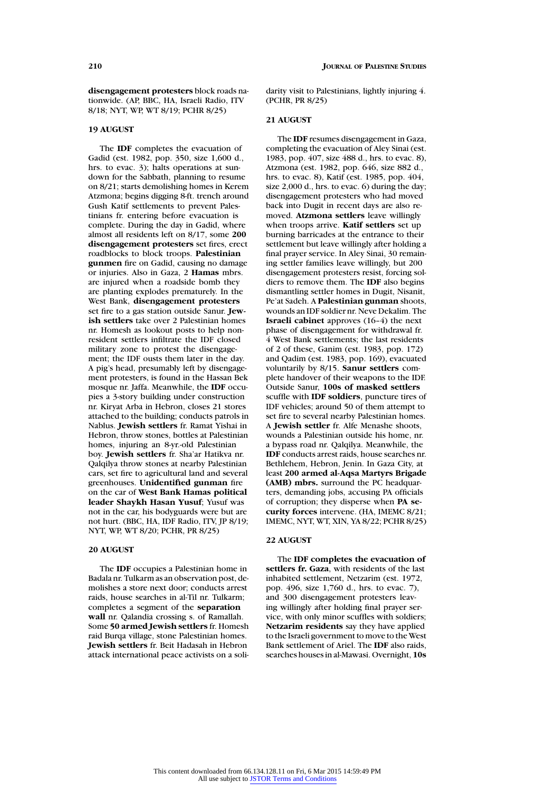**disengagement protesters** block roads nationwide. (AP, BBC, HA, Israeli Radio, ITV 8/18; NYT, WP, WT 8/19; PCHR 8/25)

# **19 AUGUST**

The **IDF** completes the evacuation of Gadid (est. 1982, pop. 350, size 1,600 d., hrs. to evac. 3); halts operations at sundown for the Sabbath, planning to resume on 8/21; starts demolishing homes in Kerem Atzmona; begins digging 8-ft. trench around Gush Katif settlements to prevent Palestinians fr. entering before evacuation is complete. During the day in Gadid, where almost all residents left on 8/17, some **200 disengagement protesters** set fires, erect roadblocks to block troops. **Palestinian gunmen** fire on Gadid, causing no damage or injuries. Also in Gaza, 2 **Hamas** mbrs. are injured when a roadside bomb they are planting explodes prematurely. In the West Bank, **disengagement protesters** set fire to a gas station outside Sanur. **Jewish settlers** take over 2 Palestinian homes nr. Homesh as lookout posts to help nonresident settlers infiltrate the IDF closed military zone to protest the disengagement; the IDF ousts them later in the day. A pig's head, presumably left by disengagement protesters, is found in the Hassan Bek mosque nr. Jaffa. Meanwhile, the **IDF** occupies a 3-story building under construction nr. Kiryat Arba in Hebron, closes 21 stores attached to the building; conducts patrols in Nablus. **Jewish settlers** fr. Ramat Yishai in Hebron, throw stones, bottles at Palestinian homes, injuring an 8-yr.-old Palestinian boy. **Jewish settlers** fr. Sha'ar Hatikva nr. Qalqilya throw stones at nearby Palestinian cars, set fire to agricultural land and several greenhouses. **Unidentified gunman** fire on the car of **West Bank Hamas political leader Shaykh Hasan Yusuf**; Yusuf was not in the car, his bodyguards were but are not hurt. (BBC, HA, IDF Radio, ITV, JP 8/19; NYT, WP, WT 8/20; PCHR, PR 8/25)

# **20 AUGUST**

The **IDF** occupies a Palestinian home in Badala nr. Tulkarm as an observation post, demolishes a store next door; conducts arrest raids, house searches in al-Til nr. Tulkarm; completes a segment of the **separation wall** nr. Qalandia crossing s. of Ramallah. Some **50 armed Jewish settlers** fr. Homesh raid Burqa village, stone Palestinian homes. **Jewish settlers** fr. Beit Hadasah in Hebron attack international peace activists on a solidarity visit to Palestinians, lightly injuring 4. (PCHR, PR 8/25)

# **21 AUGUST**

The **IDF** resumes disengagement in Gaza, completing the evacuation of Aley Sinai (est. 1983, pop. 407, size 488 d., hrs. to evac. 8), Atzmona (est. 1982, pop. 646, size 882 d., hrs. to evac. 8), Katif (est. 1985, pop. 404, size 2,000 d., hrs. to evac. 6) during the day; disengagement protesters who had moved back into Dugit in recent days are also removed. **Atzmona settlers** leave willingly when troops arrive. **Katif settlers** set up burning barricades at the entrance to their settlement but leave willingly after holding a final prayer service. In Aley Sinai, 30 remaining settler families leave willingly, but 200 disengagement protesters resist, forcing soldiers to remove them. The **IDF** also begins dismantling settler homes in Dugit, Nisanit, Pe'at Sadeh. A **Palestinian gunman** shoots, wounds an IDF soldier nr. Neve Dekalim. The **Israeli cabinet** approves (16–4) the next phase of disengagement for withdrawal fr. 4 West Bank settlements; the last residents of 2 of these, Ganim (est. 1983, pop. 172) and Qadim (est. 1983, pop. 169), evacuated voluntarily by 8/15. **Sanur settlers** complete handover of their weapons to the IDF. Outside Sanur, **100s of masked settlers** scuffle with **IDF soldiers**, puncture tires of IDF vehicles; around 50 of them attempt to set fire to several nearby Palestinian homes. A **Jewish settler** fr. Alfe Menashe shoots, wounds a Palestinian outside his home, nr. a bypass road nr. Qalqilya. Meanwhile, the **IDF** conducts arrest raids, house searches nr. Bethlehem, Hebron, Jenin. In Gaza City, at least **200 armed al-Aqsa Martyrs Brigade (AMB) mbrs.** surround the PC headquarters, demanding jobs, accusing PA officials of corruption; they disperse when **PA security forces** intervene. (HA, IMEMC 8/21; IMEMC, NYT, WT, XIN, YA 8/22; PCHR 8/25)

#### **22 AUGUST**

The **IDF completes the evacuation of settlers fr. Gaza**, with residents of the last inhabited settlement, Netzarim (est. 1972, pop. 496, size 1,760 d., hrs. to evac. 7), and 300 disengagement protesters leaving willingly after holding final prayer service, with only minor scuffles with soldiers; **Netzarim residents** say they have applied to the Israeli government to move to the West Bank settlement of Ariel. The **IDF** also raids, searches houses in al-Mawasi. Overnight, **10s**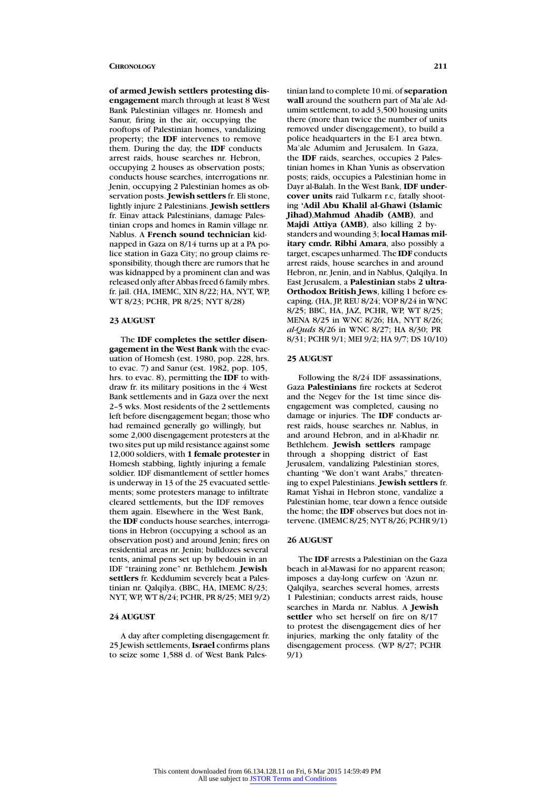**of armed Jewish settlers protesting disengagement** march through at least 8 West Bank Palestinian villages nr. Homesh and Sanur, firing in the air, occupying the rooftops of Palestinian homes, vandalizing property; the **IDF** intervenes to remove them. During the day, the **IDF** conducts arrest raids, house searches nr. Hebron, occupying 2 houses as observation posts; conducts house searches, interrogations nr. Jenin, occupying 2 Palestinian homes as observation posts. **Jewish settlers** fr. Eli stone, lightly injure 2 Palestinians. **Jewish settlers** fr. Einav attack Palestinians, damage Palestinian crops and homes in Ramin village nr. Nablus. A **French sound technician** kidnapped in Gaza on 8/14 turns up at a PA police station in Gaza City; no group claims responsibility, though there are rumors that he was kidnapped by a prominent clan and was released only after Abbas freed 6 family mbrs. fr. jail. (HA, IMEMC, XIN 8/22; HA, NYT, WP, WT 8/23; PCHR, PR 8/25; NYT 8/28)

# **23 AUGUST**

The **IDF completes the settler disengagement in the West Bank** with the evacuation of Homesh (est. 1980, pop. 228, hrs. to evac. 7) and Sanur (est. 1982, pop. 105, hrs. to evac. 8), permitting the **IDF** to withdraw fr. its military positions in the 4 West Bank settlements and in Gaza over the next 2–5 wks. Most residents of the 2 settlements left before disengagement began; those who had remained generally go willingly, but some 2,000 disengagement protesters at the two sites put up mild resistance against some 12,000 soldiers, with **1 female protester** in Homesh stabbing, lightly injuring a female soldier. IDF dismantlement of settler homes is underway in 13 of the 25 evacuated settlements; some protesters manage to infiltrate cleared settlements, but the IDF removes them again. Elsewhere in the West Bank, the **IDF** conducts house searches, interrogations in Hebron (occupying a school as an observation post) and around Jenin; fires on residential areas nr. Jenin; bulldozes several tents, animal pens set up by bedouin in an IDF "training zone" nr. Bethlehem. **Jewish settlers** fr. Keddumim severely beat a Palestinian nr. Qalqilya. (BBC, HA, IMEMC 8/23; NYT, WP, WT 8/24; PCHR, PR 8/25; MEI 9/2)

# **24 AUGUST**

A day after completing disengagement fr. 25 Jewish settlements, **Israel** confirms plans to seize some 1,588 d. of West Bank Pales-

tinian land to complete 10 mi. of **separation wall** around the southern part of Ma'ale Adumim settlement, to add 3,500 housing units there (more than twice the number of units removed under disengagement), to build a police headquarters in the E-1 area btwn. Ma'ale Adumim and Jerusalem. In Gaza, the **IDF** raids, searches, occupies 2 Palestinian homes in Khan Yunis as observation posts; raids, occupies a Palestinian home in Dayr al-Balah. In the West Bank, **IDF undercover units** raid Tulkarm r.c, fatally shooting **'Adil Abu Khalil al-Ghawi (Islamic Jihad)**,**Mahmud Ahadib (AMB)**, and **Majdi Attiya (AMB)**, also killing 2 bystanders and wounding 3; **local Hamas military cmdr. Ribhi Amara**, also possibly a target, escapes unharmed. The **IDF** conducts arrest raids, house searches in and around Hebron, nr. Jenin, and in Nablus, Qalqilya. In East Jerusalem, a **Palestinian** stabs **2 ultra-Orthodox British Jews**, killing 1 before escaping. (HA, JP, REU 8/24; VOP 8/24 in WNC 8/25; BBC, HA, JAZ, PCHR, WP, WT 8/25; MENA 8/25 in WNC 8/26; HA, NYT 8/26; *al-Quds* 8/26 in WNC 8/27; HA 8/30; PR 8/31; PCHR 9/1; MEI 9/2; HA 9/7; DS 10/10)

### **25 AUGUST**

Following the 8/24 IDF assassinations, Gaza **Palestinians** fire rockets at Sederot and the Negev for the 1st time since disengagement was completed, causing no damage or injuries. The **IDF** conducts arrest raids, house searches nr. Nablus, in and around Hebron, and in al-Khadir nr. Bethlehem. **Jewish settlers** rampage through a shopping district of East Jerusalem, vandalizing Palestinian stores, chanting "We don't want Arabs," threatening to expel Palestinians. **Jewish settlers** fr. Ramat Yishai in Hebron stone, vandalize a Palestinian home, tear down a fence outside the home; the **IDF** observes but does not intervene. (IMEMC 8/25; NYT 8/26; PCHR 9/1)

#### **26 AUGUST**

The **IDF** arrests a Palestinian on the Gaza beach in al-Mawasi for no apparent reason; imposes a day-long curfew on 'Azun nr. Qalqilya, searches several homes, arrests 1 Palestinian; conducts arrest raids, house searches in Marda nr. Nablus. A **Jewish settler** who set herself on fire on 8/17 to protest the disengagement dies of her injuries, marking the only fatality of the disengagement process. (WP 8/27; PCHR 9/1)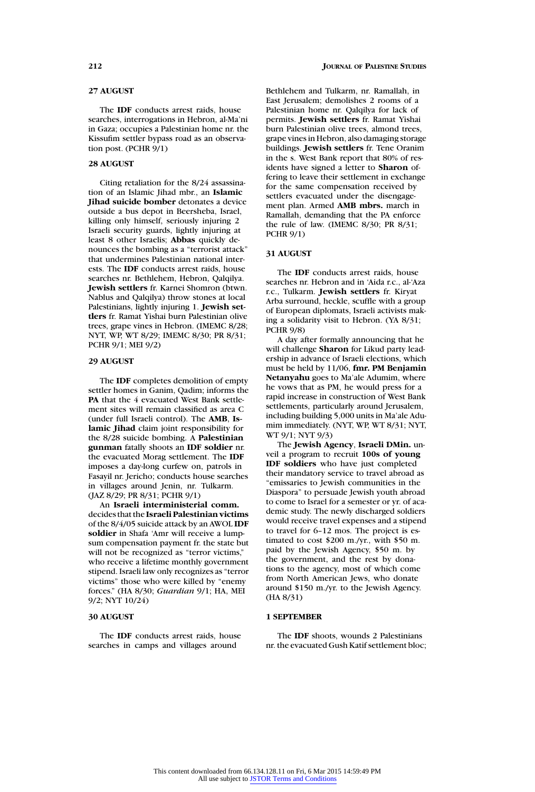# **27 AUGUST**

The **IDF** conducts arrest raids, house searches, interrogations in Hebron, al-Ma'ni in Gaza; occupies a Palestinian home nr. the Kissufim settler bypass road as an observation post. (PCHR 9/1)

#### **28 AUGUST**

Citing retaliation for the 8/24 assassination of an Islamic Jihad mbr., an **Islamic Jihad suicide bomber** detonates a device outside a bus depot in Beersheba, Israel, killing only himself, seriously injuring 2 Israeli security guards, lightly injuring at least 8 other Israelis; **Abbas** quickly denounces the bombing as a "terrorist attack" that undermines Palestinian national interests. The **IDF** conducts arrest raids, house searches nr. Bethlehem, Hebron, Qalqilya. **Jewish settlers** fr. Karnei Shomron (btwn. Nablus and Qalqilya) throw stones at local Palestinians, lightly injuring 1. **Jewish settlers** fr. Ramat Yishai burn Palestinian olive trees, grape vines in Hebron. (IMEMC 8/28; NYT, WP, WT 8/29; IMEMC 8/30; PR 8/31; PCHR 9/1; MEI 9/2)

# **29 AUGUST**

The **IDF** completes demolition of empty settler homes in Ganim, Qadim; informs the **PA** that the 4 evacuated West Bank settlement sites will remain classified as area C (under full Israeli control). The **AMB**, **Islamic Jihad** claim joint responsibility for the 8/28 suicide bombing. A **Palestinian gunman** fatally shoots an **IDF soldier** nr. the evacuated Morag settlement. The **IDF** imposes a day-long curfew on, patrols in Fasayil nr. Jericho; conducts house searches in villages around Jenin, nr. Tulkarm. (JAZ 8/29; PR 8/31; PCHR 9/1)

An **Israeli interministerial comm.** decides that the **Israeli Palestinian victims** of the 8/4/05 suicide attack by an AWOL **IDF soldier** in Shafa 'Amr will receive a lumpsum compensation payment fr. the state but will not be recognized as "terror victims," who receive a lifetime monthly government stipend. Israeli law only recognizes as "terror victims" those who were killed by "enemy forces." (HA 8/30; *Guardian* 9/1; HA, MEI 9/2; NYT 10/24)

#### **30 AUGUST**

The **IDF** conducts arrest raids, house searches in camps and villages around

Bethlehem and Tulkarm, nr. Ramallah, in East Jerusalem; demolishes 2 rooms of a Palestinian home nr. Qalqilya for lack of permits. **Jewish settlers** fr. Ramat Yishai burn Palestinian olive trees, almond trees, grape vines in Hebron, also damaging storage buildings. **Jewish settlers** fr. Tene Oranim in the s. West Bank report that 80% of residents have signed a letter to **Sharon** offering to leave their settlement in exchange for the same compensation received by settlers evacuated under the disengagement plan. Armed **AMB mbrs.** march in Ramallah, demanding that the PA enforce the rule of law. (IMEMC 8/30; PR 8/31; PCHR 9/1)

#### **31 AUGUST**

The **IDF** conducts arrest raids, house searches nr. Hebron and in 'Aida r.c., al-'Aza r.c., Tulkarm. **Jewish settlers** fr. Kiryat Arba surround, heckle, scuffle with a group of European diplomats, Israeli activists making a solidarity visit to Hebron. (YA 8/31; PCHR 9/8)

A day after formally announcing that he will challenge **Sharon** for Likud party leadership in advance of Israeli elections, which must be held by 11/06, **fmr. PM Benjamin Netanyahu** goes to Ma'ale Adumim, where he vows that as PM, he would press for a rapid increase in construction of West Bank settlements, particularly around Jerusalem, including building 5,000 units in Ma'ale Adumim immediately. (NYT, WP, WT 8/31; NYT, WT 9/1; NYT 9/3)

The **Jewish Agency**, **Israeli DMin.** unveil a program to recruit **100s of young IDF soldiers** who have just completed their mandatory service to travel abroad as "emissaries to Jewish communities in the Diaspora" to persuade Jewish youth abroad to come to Israel for a semester or yr. of academic study. The newly discharged soldiers would receive travel expenses and a stipend to travel for 6–12 mos. The project is estimated to cost \$200 m./yr., with \$50 m. paid by the Jewish Agency, \$50 m. by the government, and the rest by donations to the agency, most of which come from North American Jews, who donate around \$150 m./yr. to the Jewish Agency. (HA 8/31)

# **1 SEPTEMBER**

The **IDF** shoots, wounds 2 Palestinians nr. the evacuated Gush Katif settlement bloc;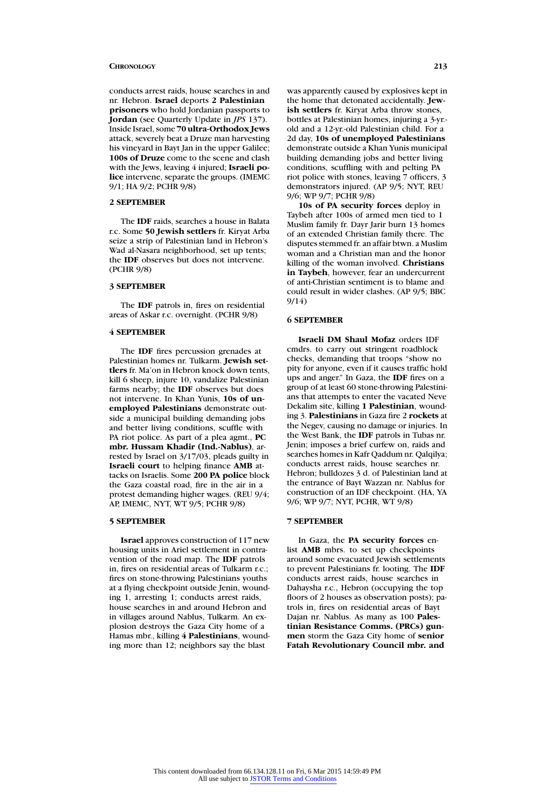conducts arrest raids, house searches in and nr. Hebron. **Israel** deports **2 Palestinian prisoners** who hold Jordanian passports to **Jordan** (see Quarterly Update in *JPS* 137). Inside Israel, some **70 ultra-Orthodox Jews** attack, severely beat a Druze man harvesting his vineyard in Bayt Jan in the upper Galilee; **100s of Druze** come to the scene and clash with the Jews, leaving 4 injured; **Israeli police** intervene, separate the groups. (IMEMC 9/1; HA 9/2; PCHR 9/8)

#### **2 SEPTEMBER**

The **IDF** raids, searches a house in Balata r.c. Some **50 Jewish settlers** fr. Kiryat Arba seize a strip of Palestinian land in Hebron's Wad al-Nasara neighborhood, set up tents; the **IDF** observes but does not intervene. (PCHR 9/8)

### **3 SEPTEMBER**

The **IDF** patrols in, fires on residential areas of Askar r.c. overnight. (PCHR 9/8)

### **4 SEPTEMBER**

The **IDF** fires percussion grenades at Palestinian homes nr. Tulkarm. **Jewish settlers** fr. Ma'on in Hebron knock down tents, kill 6 sheep, injure 10, vandalize Palestinian farms nearby; the **IDF** observes but does not intervene. In Khan Yunis, **10s of unemployed Palestinians** demonstrate outside a municipal building demanding jobs and better living conditions, scuffle with PA riot police. As part of a plea agmt., **PC mbr. Hussam Khadir (Ind.-Nablus)**, arrested by Israel on 3/17/03, pleads guilty in **Israeli court** to helping finance **AMB** attacks on Israelis. Some **200 PA police** block the Gaza coastal road, fire in the air in a protest demanding higher wages. (REU 9/4; AP, IMEMC, NYT, WT 9/5; PCHR 9/8)

### **5 SEPTEMBER**

**Israel** approves construction of 117 new housing units in Ariel settlement in contravention of the road map. The **IDF** patrols in, fires on residential areas of Tulkarm r.c.; fires on stone-throwing Palestinians youths at a flying checkpoint outside Jenin, wounding 1, arresting 1; conducts arrest raids, house searches in and around Hebron and in villages around Nablus, Tulkarm. An explosion destroys the Gaza City home of a Hamas mbr., killing **4 Palestinians**, wounding more than 12; neighbors say the blast

2d day, **10s of unemployed Palestinians** demonstrate outside a Khan Yunis municipal building demanding jobs and better living conditions, scuffling with and pelting PA riot police with stones, leaving 7 officers, 3 demonstrators injured. (AP 9/5; NYT, REU 9/6; WP 9/7; PCHR 9/8)

**10s of PA security forces** deploy in Taybeh after 100s of armed men tied to 1 Muslim family fr. Dayr Jarir burn 13 homes of an extended Christian family there. The disputes stemmed fr. an affair btwn. a Muslim woman and a Christian man and the honor killing of the woman involved. **Christians in Taybeh**, however, fear an undercurrent of anti-Christian sentiment is to blame and could result in wider clashes. (AP 9/5; BBC 9/14)

# **6 SEPTEMBER**

**Israeli DM Shaul Mofaz** orders IDF cmdrs. to carry out stringent roadblock checks, demanding that troops "show no pity for anyone, even if it causes traffic hold ups and anger." In Gaza, the **IDF** fires on a group of at least 60 stone-throwing Palestinians that attempts to enter the vacated Neve Dekalim site, killing **1 Palestinian**, wounding 3. **Palestinians** in Gaza fire 2 **rockets** at the Negev, causing no damage or injuries. In the West Bank, the **IDF** patrols in Tubas nr. Jenin; imposes a brief curfew on, raids and searches homes in Kafr Qaddum nr. Qalqilya; conducts arrest raids, house searches nr. Hebron; bulldozes 3 d. of Palestinian land at the entrance of Bayt Wazzan nr. Nablus for construction of an IDF checkpoint. (HA, YA 9/6; WP 9/7; NYT, PCHR, WT 9/8)

### **7 SEPTEMBER**

In Gaza, the **PA security forces** enlist **AMB** mbrs. to set up checkpoints around some evacuated Jewish settlements to prevent Palestinians fr. looting. The **IDF** conducts arrest raids, house searches in Dahaysha r.c., Hebron (occupying the top floors of 2 houses as observation posts); patrols in, fires on residential areas of Bayt Dajan nr. Nablus. As many as 100 **Palestinian Resistance Comms. (PRCs) gunmen** storm the Gaza City home of **senior Fatah Revolutionary Council mbr. and**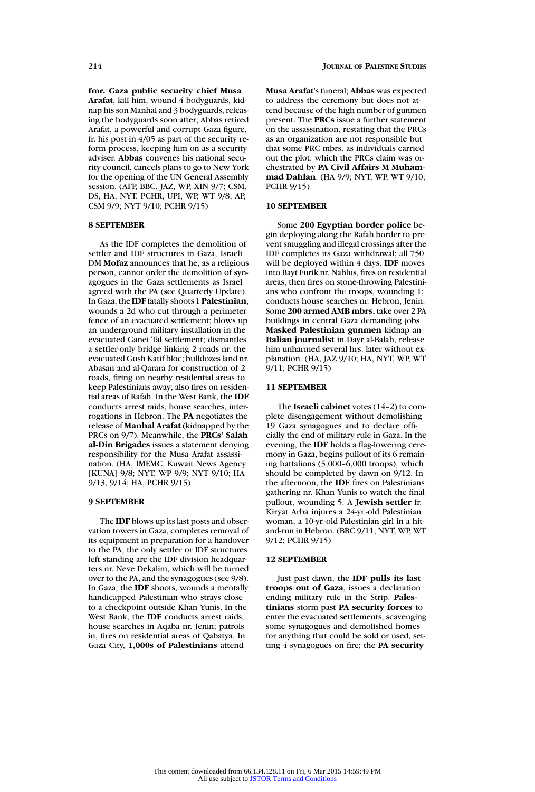**fmr. Gaza public security chief Musa Arafat**, kill him, wound 4 bodyguards, kidnap his son Manhal and 3 bodyguards, releasing the bodyguards soon after; Abbas retired Arafat, a powerful and corrupt Gaza figure, fr. his post in 4/05 as part of the security reform process, keeping him on as a security adviser. **Abbas** convenes his national security council, cancels plans to go to New York for the opening of the UN General Assembly session. (AFP, BBC, JAZ, WP, XIN 9/7; CSM, DS, HA, NYT, PCHR, UPI, WP, WT 9/8; AP, CSM 9/9; NYT 9/10; PCHR 9/15)

# **8 SEPTEMBER**

As the IDF completes the demolition of settler and IDF structures in Gaza, Israeli DM **Mofaz** announces that he, as a religious person, cannot order the demolition of synagogues in the Gaza settlements as Israel agreed with the PA (see Quarterly Update). In Gaza, the **IDF** fatally shoots 1 **Palestinian**, wounds a 2d who cut through a perimeter fence of an evacuated settlement; blows up an underground military installation in the evacuated Ganei Tal settlement; dismantles a settler-only bridge linking 2 roads nr. the evacuated Gush Katif bloc; bulldozes land nr. Abasan and al-Qarara for construction of 2 roads, firing on nearby residential areas to keep Palestinians away; also fires on residential areas of Rafah. In the West Bank, the **IDF** conducts arrest raids, house searches, interrogations in Hebron. The **PA** negotiates the release of **Manhal Arafat** (kidnapped by the PRCs on 9/7). Meanwhile, the **PRCs' Salah al-Din Brigades** issues a statement denying responsibility for the Musa Arafat assassination. (HA, IMEMC, Kuwait News Agency [KUNA] 9/8; NYT, WP 9/9; NYT 9/10; HA 9/13, 9/14; HA, PCHR 9/15)

#### **9 SEPTEMBER**

The **IDF** blows up its last posts and observation towers in Gaza, completes removal of its equipment in preparation for a handover to the PA; the only settler or IDF structures left standing are the IDF division headquarters nr. Neve Dekalim, which will be turned over to the PA, and the synagogues (see 9/8). In Gaza, the **IDF** shoots, wounds a mentally handicapped Palestinian who strays close to a checkpoint outside Khan Yunis. In the West Bank, the **IDF** conducts arrest raids, house searches in Aqaba nr. Jenin; patrols in, fires on residential areas of Qabatya. In Gaza City, **1,000s of Palestinians** attend

**Musa Arafat**'s funeral; **Abbas** was expected to address the ceremony but does not attend because of the high number of gunmen present. The **PRCs** issue a further statement on the assassination, restating that the PRCs as an organization are not responsible but that some PRC mbrs. as individuals carried out the plot, which the PRCs claim was orchestrated by **PA Civil Affairs M Muhammad Dahlan**. (HA 9/9; NYT, WP, WT 9/10; PCHR 9/15)

#### **10 SEPTEMBER**

Some **200 Egyptian border police** begin deploying along the Rafah border to prevent smuggling and illegal crossings after the IDF completes its Gaza withdrawal; all 750 will be deployed within 4 days. **IDF** moves into Bayt Furik nr. Nablus, fires on residential areas, then fires on stone-throwing Palestinians who confront the troops, wounding 1; conducts house searches nr. Hebron, Jenin. Some **200 armed AMB mbrs.** take over 2 PA buildings in central Gaza demanding jobs. **Masked Palestinian gunmen** kidnap an **Italian journalist** in Dayr al-Balah, release him unharmed several hrs. later without explanation. (HA, JAZ 9/10; HA, NYT, WP, WT 9/11; PCHR 9/15)

#### **11 SEPTEMBER**

The **Israeli cabinet** votes (14–2) to complete disengagement without demolishing 19 Gaza synagogues and to declare officially the end of military rule in Gaza. In the evening, the **IDF** holds a flag-lowering ceremony in Gaza, begins pullout of its 6 remaining battalions (5,000–6,000 troops), which should be completed by dawn on 9/12. In the afternoon, the **IDF** fires on Palestinians gathering nr. Khan Yunis to watch the final pullout, wounding 5. A **Jewish settler** fr. Kiryat Arba injures a 24-yr.-old Palestinian woman, a 10-yr.-old Palestinian girl in a hitand-run in Hebron. (BBC 9/11; NYT, WP, WT 9/12; PCHR 9/15)

### **12 SEPTEMBER**

Just past dawn, the **IDF pulls its last troops out of Gaza**, issues a declaration ending military rule in the Strip. **Palestinians** storm past **PA security forces** to enter the evacuated settlements, scavenging some synagogues and demolished homes for anything that could be sold or used, setting 4 synagogues on fire; the **PA security**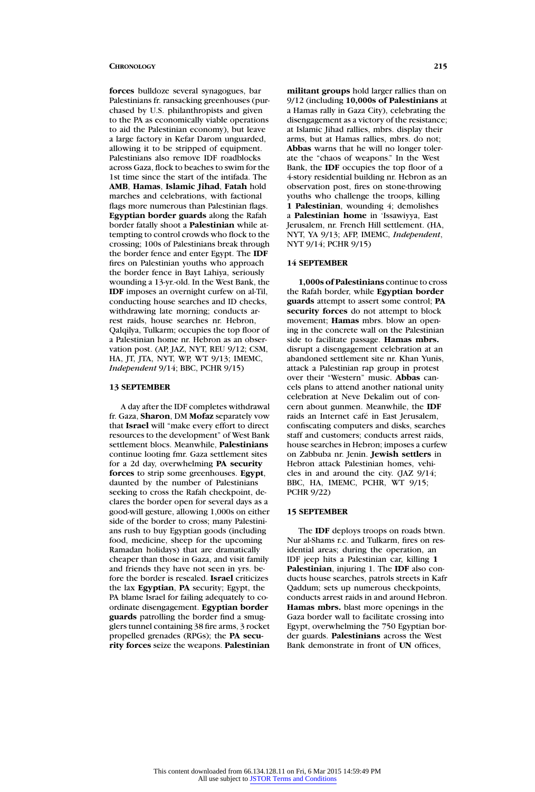**forces** bulldoze several synagogues, bar Palestinians fr. ransacking greenhouses (purchased by U.S. philanthropists and given to the PA as economically viable operations to aid the Palestinian economy), but leave a large factory in Kefar Darom unguarded, allowing it to be stripped of equipment. Palestinians also remove IDF roadblocks across Gaza, flock to beaches to swim for the 1st time since the start of the intifada. The **AMB**, **Hamas**, **Islamic Jihad**, **Fatah** hold marches and celebrations, with factional flags more numerous than Palestinian flags. **Egyptian border guards** along the Rafah border fatally shoot a **Palestinian** while attempting to control crowds who flock to the crossing; 100s of Palestinians break through the border fence and enter Egypt. The **IDF** fires on Palestinian youths who approach the border fence in Bayt Lahiya, seriously wounding a 13-yr.-old. In the West Bank, the **IDF** imposes an overnight curfew on al-Til, conducting house searches and ID checks, withdrawing late morning; conducts arrest raids, house searches nr. Hebron, Qalqilya, Tulkarm; occupies the top floor of a Palestinian home nr. Hebron as an observation post. (AP, JAZ, NYT, REU 9/12; CSM, HA, JT, JTA, NYT, WP, WT 9/13; IMEMC, *Independent* 9/14; BBC, PCHR 9/15)

#### **13 SEPTEMBER**

A day after the IDF completes withdrawal fr. Gaza, **Sharon**, DM **Mofaz** separately vow that **Israel** will "make every effort to direct resources to the development" of West Bank settlement blocs. Meanwhile, **Palestinians** continue looting fmr. Gaza settlement sites for a 2d day, overwhelming **PA security forces** to strip some greenhouses. **Egypt**, daunted by the number of Palestinians seeking to cross the Rafah checkpoint, declares the border open for several days as a good-will gesture, allowing 1,000s on either side of the border to cross; many Palestinians rush to buy Egyptian goods (including food, medicine, sheep for the upcoming Ramadan holidays) that are dramatically cheaper than those in Gaza, and visit family and friends they have not seen in yrs. before the border is resealed. **Israel** criticizes the lax **Egyptian**, **PA** security; Egypt, the PA blame Israel for failing adequately to coordinate disengagement. **Egyptian border guards** patrolling the border find a smugglers tunnel containing 38 fire arms, 3 rocket propelled grenades (RPGs); the **PA security forces** seize the weapons. **Palestinian**

**militant groups** hold larger rallies than on 9/12 (including **10,000s of Palestinians** at a Hamas rally in Gaza City), celebrating the disengagement as a victory of the resistance; at Islamic Jihad rallies, mbrs. display their arms, but at Hamas rallies, mbrs. do not; **Abbas** warns that he will no longer tolerate the "chaos of weapons." In the West Bank, the **IDF** occupies the top floor of a 4-story residential building nr. Hebron as an observation post, fires on stone-throwing youths who challenge the troops, killing **1 Palestinian**, wounding 4; demolishes a **Palestinian home** in 'Issawiyya, East Jerusalem, nr. French Hill settlement. (HA, NYT, YA 9/13; AFP, IMEMC, *Independent*, NYT 9/14; PCHR 9/15)

# **14 SEPTEMBER**

**1,000s of Palestinians** continue to cross the Rafah border, while **Egyptian border guards** attempt to assert some control; **PA security forces** do not attempt to block movement; **Hamas** mbrs. blow an opening in the concrete wall on the Palestinian side to facilitate passage. **Hamas mbrs.** disrupt a disengagement celebration at an abandoned settlement site nr. Khan Yunis, attack a Palestinian rap group in protest over their "Western" music. **Abbas** cancels plans to attend another national unity celebration at Neve Dekalim out of concern about gunmen. Meanwhile, the **IDF** raids an Internet café in East Jerusalem, confiscating computers and disks, searches staff and customers; conducts arrest raids, house searches in Hebron; imposes a curfew on Zabbuba nr. Jenin. **Jewish settlers** in Hebron attack Palestinian homes, vehicles in and around the city. (JAZ 9/14; BBC, HA, IMEMC, PCHR, WT 9/15; PCHR 9/22)

#### **15 SEPTEMBER**

The **IDF** deploys troops on roads btwn. Nur al-Shams r.c. and Tulkarm, fires on residential areas; during the operation, an IDF jeep hits a Palestinian car, killing **1 Palestinian**, injuring 1. The **IDF** also conducts house searches, patrols streets in Kafr Qaddum; sets up numerous checkpoints, conducts arrest raids in and around Hebron. **Hamas mbrs.** blast more openings in the Gaza border wall to facilitate crossing into Egypt, overwhelming the 750 Egyptian border guards. **Palestinians** across the West Bank demonstrate in front of **UN** offices,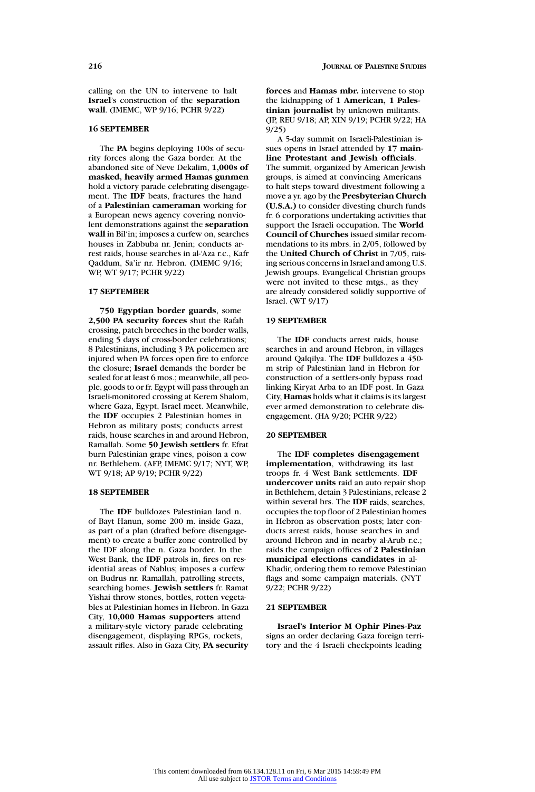calling on the UN to intervene to halt **Israel**'s construction of the **separation wall**. (IMEMC, WP 9/16; PCHR 9/22)

# **16 SEPTEMBER**

The **PA** begins deploying 100s of security forces along the Gaza border. At the abandoned site of Neve Dekalim, **1,000s of masked, heavily armed Hamas gunmen** hold a victory parade celebrating disengagement. The **IDF** beats, fractures the hand of a **Palestinian cameraman** working for a European news agency covering nonviolent demonstrations against the **separation wall** in Bil'in; imposes a curfew on, searches houses in Zabbuba nr. Jenin; conducts arrest raids, house searches in al-'Aza r.c., Kafr Qaddum, Sa'ir nr. Hebron. (IMEMC 9/16; WP, WT 9/17; PCHR 9/22)

#### **17 SEPTEMBER**

**750 Egyptian border guards**, some **2,500 PA security forces** shut the Rafah crossing, patch breeches in the border walls, ending 5 days of cross-border celebrations; 8 Palestinians, including 3 PA policemen are injured when PA forces open fire to enforce the closure; **Israel** demands the border be sealed for at least 6 mos.; meanwhile, all people, goods to or fr. Egypt will pass through an Israeli-monitored crossing at Kerem Shalom, where Gaza, Egypt, Israel meet. Meanwhile, the **IDF** occupies 2 Palestinian homes in Hebron as military posts; conducts arrest raids, house searches in and around Hebron, Ramallah. Some **50 Jewish settlers** fr. Efrat burn Palestinian grape vines, poison a cow nr. Bethlehem. (AFP, IMEMC 9/17; NYT, WP, WT 9/18; AP 9/19; PCHR 9/22)

# **18 SEPTEMBER**

The **IDF** bulldozes Palestinian land n. of Bayt Hanun, some 200 m. inside Gaza, as part of a plan (drafted before disengagement) to create a buffer zone controlled by the IDF along the n. Gaza border. In the West Bank, the **IDF** patrols in, fires on residential areas of Nablus; imposes a curfew on Budrus nr. Ramallah, patrolling streets, searching homes. **Jewish settlers** fr. Ramat Yishai throw stones, bottles, rotten vegetables at Palestinian homes in Hebron. In Gaza City, **10,000 Hamas supporters** attend a military-style victory parade celebrating disengagement, displaying RPGs, rockets, assault rifles. Also in Gaza City, **PA security** **forces** and **Hamas mbr.** intervene to stop the kidnapping of **1 American, 1 Palestinian journalist** by unknown militants. (JP, REU 9/18; AP, XIN 9/19; PCHR 9/22; HA 9/25)

A 5-day summit on Israeli-Palestinian issues opens in Israel attended by **17 mainline Protestant and Jewish officials**. The summit, organized by American Jewish groups, is aimed at convincing Americans to halt steps toward divestment following a move a yr. ago by the **Presbyterian Church (U.S.A.)** to consider divesting church funds fr. 6 corporations undertaking activities that support the Israeli occupation. The **World Council of Churches** issued similar recommendations to its mbrs. in 2/05, followed by the **United Church of Christ** in 7/05, raising serious concerns in Israel and among U.S. Jewish groups. Evangelical Christian groups were not invited to these mtgs., as they are already considered solidly supportive of Israel. (WT 9/17)

# **19 SEPTEMBER**

The **IDF** conducts arrest raids, house searches in and around Hebron, in villages around Qalqilya. The **IDF** bulldozes a 450 m strip of Palestinian land in Hebron for construction of a settlers-only bypass road linking Kiryat Arba to an IDF post. In Gaza City, **Hamas** holds what it claims is its largest ever armed demonstration to celebrate disengagement. (HA 9/20; PCHR 9/22)

#### **20 SEPTEMBER**

The **IDF completes disengagement implementation**, withdrawing its last troops fr. 4 West Bank settlements. **IDF undercover units** raid an auto repair shop in Bethlehem, detain 3 Palestinians, release 2 within several hrs. The **IDF** raids, searches, occupies the top floor of 2 Palestinian homes in Hebron as observation posts; later conducts arrest raids, house searches in and around Hebron and in nearby al-Arub r.c.; raids the campaign offices of **2 Palestinian municipal elections candidates** in al-Khadir, ordering them to remove Palestinian flags and some campaign materials. (NYT 9/22; PCHR 9/22)

# **21 SEPTEMBER**

**Israel's Interior M Ophir Pines-Paz** signs an order declaring Gaza foreign territory and the 4 Israeli checkpoints leading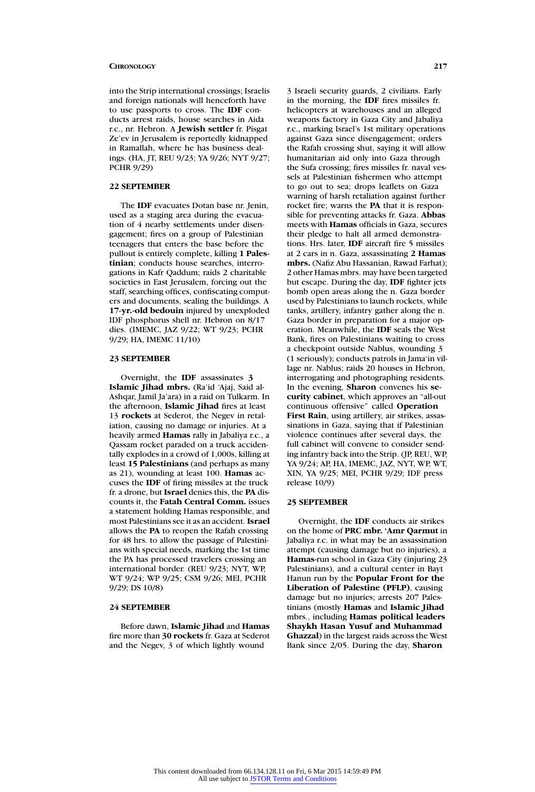into the Strip international crossings; Israelis and foreign nationals will henceforth have to use passports to cross. The **IDF** conducts arrest raids, house searches in Aida r.c., nr. Hebron. A **Jewish settler** fr. Pisgat Ze'ev in Jerusalem is reportedly kidnapped in Ramallah, where he has business dealings. (HA, JT, REU 9/23; YA 9/26; NYT 9/27; PCHR 9/29)

# **22 SEPTEMBER**

The **IDF** evacuates Dotan base nr. Jenin, used as a staging area during the evacuation of 4 nearby settlements under disengagement; fires on a group of Palestinian teenagers that enters the base before the pullout is entirely complete, killing **1 Palestinian**; conducts house searches, interrogations in Kafr Qaddum; raids 2 charitable societies in East Jerusalem, forcing out the staff, searching offices, confiscating computers and documents, sealing the buildings. A **17-yr.-old bedouin** injured by unexploded IDF phosphorus shell nr. Hebron on 8/17 dies. (IMEMC, JAZ 9/22; WT 9/23; PCHR 9/29; HA, IMEMC 11/10)

### **23 SEPTEMBER**

Overnight, the **IDF** assassinates **3 Islamic Jihad mbrs.** (Ra'id 'Ajaj, Said al-Ashqar, Jamil Ja'ara) in a raid on Tulkarm. In the afternoon, **Islamic Jihad** fires at least 13 **rockets** at Sederot, the Negev in retaliation, causing no damage or injuries. At a heavily armed **Hamas** rally in Jabaliya r.c., a Qassam rocket paraded on a truck accidentally explodes in a crowd of 1,000s, killing at least **15 Palestinians** (and perhaps as many as 21), wounding at least 100. **Hamas** accuses the **IDF** of firing missiles at the truck fr. a drone, but **Israel** denies this, the **PA** discounts it, the **Fatah Central Comm.** issues a statement holding Hamas responsible, and most Palestinians see it as an accident. **Israel** allows the **PA** to reopen the Rafah crossing for 48 hrs. to allow the passage of Palestinians with special needs, marking the 1st time the PA has processed travelers crossing an international border. (REU 9/23; NYT, WP, WT 9/24; WP 9/25; CSM 9/26; MEI, PCHR 9/29; DS 10/8)

# **24 SEPTEMBER**

Before dawn, **Islamic Jihad** and **Hamas** fire more than **30 rockets** fr. Gaza at Sederot and the Negev, 3 of which lightly wound

3 Israeli security guards, 2 civilians. Early in the morning, the **IDF** fires missiles fr. helicopters at warehouses and an alleged weapons factory in Gaza City and Jabaliya r.c., marking Israel's 1st military operations against Gaza since disengagement; orders the Rafah crossing shut, saying it will allow humanitarian aid only into Gaza through the Sufa crossing; fires missiles fr. naval vessels at Palestinian fishermen who attempt to go out to sea; drops leaflets on Gaza warning of harsh retaliation against further rocket fire; warns the **PA** that it is responsible for preventing attacks fr. Gaza. **Abbas** meets with **Hamas** officials in Gaza, secures their pledge to halt all armed demonstrations. Hrs. later, **IDF** aircraft fire 5 missiles at 2 cars in n. Gaza, assassinating **2 Hamas mbrs.** (Nafiz Abu Hassanian, Rawad Farhat); 2 other Hamas mbrs. may have been targeted but escape. During the day, **IDF** fighter jets bomb open areas along the n. Gaza border used by Palestinians to launch rockets, while tanks, artillery, infantry gather along the n. Gaza border in preparation for a major operation. Meanwhile, the **IDF** seals the West Bank, fires on Palestinians waiting to cross a checkpoint outside Nablus, wounding 3 (1 seriously); conducts patrols in Jama'in village nr. Nablus; raids 20 houses in Hebron, interrogating and photographing residents. In the evening, **Sharon** convenes his **security cabinet**, which approves an "all-out continuous offensive" called **Operation First Rain**, using artillery, air strikes, assassinations in Gaza, saying that if Palestinian violence continues after several days, the full cabinet will convene to consider sending infantry back into the Strip. (JP, REU, WP, YA 9/24; AP, HA, IMEMC, JAZ, NYT, WP, WT, XIN, YA 9/25; MEI, PCHR 9/29; IDF press release 10/9)

#### **25 SEPTEMBER**

Overnight, the **IDF** conducts air strikes on the home of **PRC mbr. 'Amr Qarmut** in Jabaliya r.c. in what may be an assassination attempt (causing damage but no injuries), a **Hamas**-run school in Gaza City (injuring 23 Palestinians), and a cultural center in Bayt Hanun run by the **Popular Front for the Liberation of Palestine (PFLP)**, causing damage but no injuries; arrests 207 Palestinians (mostly **Hamas** and **Islamic Jihad** mbrs., including **Hamas political leaders Shaykh Hasan Yusuf and Muhammad Ghazzal**) in the largest raids across the West Bank since 2/05. During the day, **Sharon**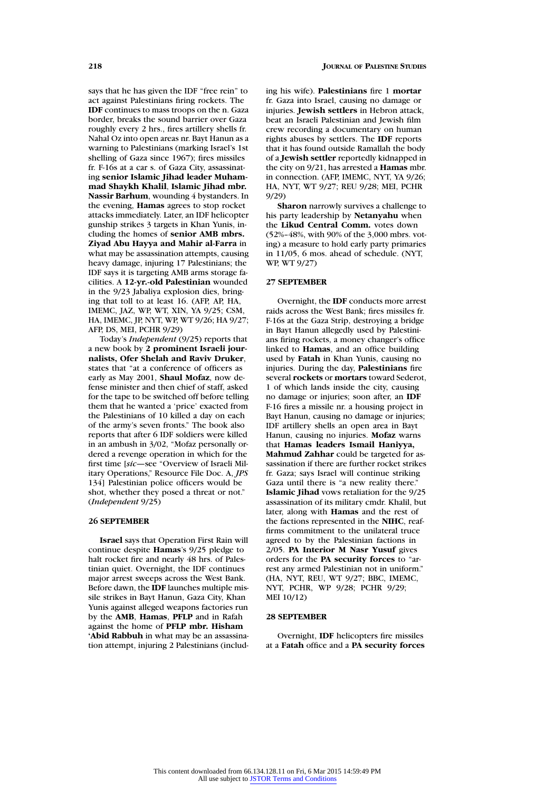says that he has given the IDF "free rein" to act against Palestinians firing rockets. The **IDF** continues to mass troops on the n. Gaza border, breaks the sound barrier over Gaza roughly every 2 hrs., fires artillery shells fr. Nahal Oz into open areas nr. Bayt Hanun as a warning to Palestinians (marking Israel's 1st shelling of Gaza since 1967); fires missiles fr. F-16s at a car s. of Gaza City, assassinating **senior Islamic Jihad leader Muhammad Shaykh Khalil**, **Islamic Jihad mbr. Nassir Barhum**, wounding 4 bystanders. In the evening, **Hamas** agrees to stop rocket attacks immediately. Later, an IDF helicopter gunship strikes 3 targets in Khan Yunis, including the homes of **senior AMB mbrs. Ziyad Abu Hayya and Mahir al-Farra** in what may be assassination attempts, causing heavy damage, injuring 17 Palestinians; the IDF says it is targeting AMB arms storage facilities. A **12-yr.-old Palestinian** wounded in the 9/23 Jabaliya explosion dies, bringing that toll to at least 16. (AFP, AP, HA, IMEMC, JAZ, WP, WT, XIN, YA 9/25; CSM, HA, IMEMC, JP, NYT, WP, WT 9/26; HA 9/27; AFP, DS, MEI, PCHR 9/29)

Today's *Independent* (9/25) reports that a new book by **2 prominent Israeli journalists, Ofer Shelah and Raviv Druker**, states that "at a conference of officers as early as May 2001, **Shaul Mofaz**, now defense minister and then chief of staff, asked for the tape to be switched off before telling them that he wanted a 'price' exacted from the Palestinians of 10 killed a day on each of the army's seven fronts." The book also reports that after 6 IDF soldiers were killed in an ambush in 3/02, "Mofaz personally ordered a revenge operation in which for the first time [*sic*—see "Overview of Israeli Military Operations," Resource File Doc. A, *JPS* 134] Palestinian police officers would be shot, whether they posed a threat or not." (*Independent* 9/25)

# **26 SEPTEMBER**

**Israel** says that Operation First Rain will continue despite **Hamas**'s 9/25 pledge to halt rocket fire and nearly 48 hrs. of Palestinian quiet. Overnight, the IDF continues major arrest sweeps across the West Bank. Before dawn, the **IDF** launches multiple missile strikes in Bayt Hanun, Gaza City, Khan Yunis against alleged weapons factories run by the **AMB**, **Hamas**, **PFLP** and in Rafah against the home of **PFLP mbr. Hisham 'Abid Rabbuh** in what may be an assassination attempt, injuring 2 Palestinians (including his wife). **Palestinians** fire 1 **mortar** fr. Gaza into Israel, causing no damage or injuries. **Jewish settlers** in Hebron attack, beat an Israeli Palestinian and Jewish film crew recording a documentary on human rights abuses by settlers. The **IDF** reports that it has found outside Ramallah the body of a **Jewish settler** reportedly kidnapped in the city on 9/21, has arrested a **Hamas** mbr. in connection. (AFP, IMEMC, NYT, YA 9/26; HA, NYT, WT 9/27; REU 9/28; MEI, PCHR 9/29)

**Sharon** narrowly survives a challenge to his party leadership by **Netanyahu** when the **Likud Central Comm.** votes down (52%–48%, with 90% of the 3,000 mbrs. voting) a measure to hold early party primaries in 11/05, 6 mos. ahead of schedule. (NYT, WP, WT 9/27)

# **27 SEPTEMBER**

Overnight, the **IDF** conducts more arrest raids across the West Bank; fires missiles fr. F-16s at the Gaza Strip, destroying a bridge in Bayt Hanun allegedly used by Palestinians firing rockets, a money changer's office linked to **Hamas**, and an office building used by **Fatah** in Khan Yunis, causing no injuries. During the day, **Palestinians** fire several **rockets** or **mortars** toward Sederot, 1 of which lands inside the city, causing no damage or injuries; soon after, an **IDF** F-16 fires a missile nr. a housing project in Bayt Hanun, causing no damage or injuries; IDF artillery shells an open area in Bayt Hanun, causing no injuries. **Mofaz** warns that **Hamas leaders Ismail Haniyya, Mahmud Zahhar** could be targeted for assassination if there are further rocket strikes fr. Gaza; says Israel will continue striking Gaza until there is "a new reality there." **Islamic Jihad** vows retaliation for the 9/25 assassination of its military cmdr. Khalil, but later, along with **Hamas** and the rest of the factions represented in the **NIHC**, reaffirms commitment to the unilateral truce agreed to by the Palestinian factions in 2/05. **PA Interior M Nasr Yusuf** gives orders for the **PA security forces** to "arrest any armed Palestinian not in uniform." (HA, NYT, REU, WT 9/27; BBC, IMEMC, NYT, PCHR, WP 9/28; PCHR 9/29; MEI 10/12)

#### **28 SEPTEMBER**

Overnight, **IDF** helicopters fire missiles at a **Fatah** office and a **PA security forces**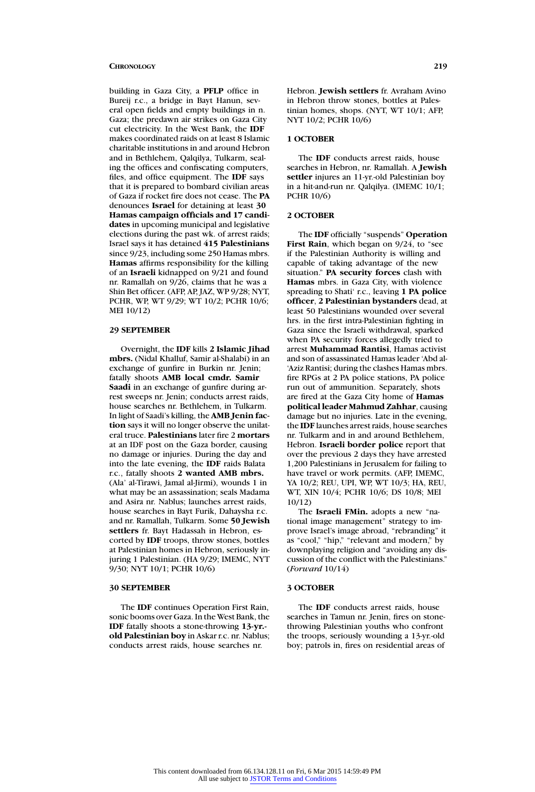building in Gaza City, a **PFLP** office in Bureij r.c., a bridge in Bayt Hanun, several open fields and empty buildings in n. Gaza; the predawn air strikes on Gaza City cut electricity. In the West Bank, the **IDF** makes coordinated raids on at least 8 Islamic charitable institutions in and around Hebron and in Bethlehem, Qalqilya, Tulkarm, sealing the offices and confiscating computers, files, and office equipment. The **IDF** says that it is prepared to bombard civilian areas of Gaza if rocket fire does not cease. The **PA** denounces **Israel** for detaining at least **30 Hamas campaign officials and 17 candidates** in upcoming municipal and legislative elections during the past wk. of arrest raids; Israel says it has detained **415 Palestinians** since 9/23, including some 250 Hamas mbrs. **Hamas** affirms responsibility for the killing of an **Israeli** kidnapped on 9/21 and found nr. Ramallah on 9/26, claims that he was a Shin Bet officer. (AFP, AP, JAZ, WP 9/28; NYT, PCHR, WP, WT 9/29; WT 10/2; PCHR 10/6; MEI 10/12)

# **29 SEPTEMBER**

Overnight, the **IDF** kills **2 Islamic Jihad mbrs.** (Nidal Khalluf, Samir al-Shalabi) in an exchange of gunfire in Burkin nr. Jenin; fatally shoots **AMB local cmdr. Samir Saadi** in an exchange of gunfire during arrest sweeps nr. Jenin; conducts arrest raids, house searches nr. Bethlehem, in Tulkarm. In light of Saadi's killing, the **AMB Jenin faction** says it will no longer observe the unilateral truce. **Palestinians** later fire 2 **mortars** at an IDF post on the Gaza border, causing no damage or injuries. During the day and into the late evening, the **IDF** raids Balata r.c., fatally shoots **2 wanted AMB mbrs.** (Ala' al-Tirawi, Jamal al-Jirmi), wounds 1 in what may be an assassination; seals Madama and Asira nr. Nablus; launches arrest raids, house searches in Bayt Furik, Dahaysha r.c. and nr. Ramallah, Tulkarm. Some **50 Jewish settlers** fr. Bayt Hadassah in Hebron, escorted by **IDF** troops, throw stones, bottles at Palestinian homes in Hebron, seriously injuring 1 Palestinian. (HA 9/29; IMEMC, NYT 9/30; NYT 10/1; PCHR 10/6)

#### **30 SEPTEMBER**

The **IDF** continues Operation First Rain, sonic booms over Gaza. In the West Bank, the **IDF** fatally shoots a stone-throwing **13-yr. old Palestinian boy** in Askar r.c. nr. Nablus; conducts arrest raids, house searches nr.

Hebron. **Jewish settlers** fr. Avraham Avino in Hebron throw stones, bottles at Palestinian homes, shops. (NYT, WT 10/1; AFP, NYT 10/2; PCHR 10/6)

#### **1 OCTOBER**

The **IDF** conducts arrest raids, house searches in Hebron, nr. Ramallah. A **Jewish settler** injures an 11-yr.-old Palestinian boy in a hit-and-run nr. Qalqilya. (IMEMC 10/1; PCHR 10/6)

### **2 OCTOBER**

The **IDF** officially "suspends" **Operation** First Rain, which began on  $9/24$ , to "see if the Palestinian Authority is willing and capable of taking advantage of the new situation." **PA security forces** clash with **Hamas** mbrs. in Gaza City, with violence spreading to Shati' r.c., leaving **1 PA police officer**, **2 Palestinian bystanders** dead, at least 50 Palestinians wounded over several hrs. in the first intra-Palestinian fighting in Gaza since the Israeli withdrawal, sparked when PA security forces allegedly tried to arrest **Muhammad Rantisi**, Hamas activist and son of assassinated Hamas leader 'Abd al- 'Aziz Rantisi; during the clashes Hamas mbrs. fire RPGs at 2 PA police stations, PA police run out of ammunition. Separately, shots are fired at the Gaza City home of **Hamas political leader Mahmud Zahhar**, causing damage but no injuries. Late in the evening, the **IDF** launches arrest raids, house searches nr. Tulkarm and in and around Bethlehem, Hebron. **Israeli border police** report that over the previous 2 days they have arrested 1,200 Palestinians in Jerusalem for failing to have travel or work permits. (AFP, IMEMC, YA 10/2; REU, UPI, WP, WT 10/3; HA, REU, WT, XIN 10/4; PCHR 10/6; DS 10/8; MEI 10/12)

The **Israeli FMin.** adopts a new "national image management" strategy to improve Israel's image abroad, "rebranding" it as "cool," "hip," "relevant and modern," by downplaying religion and "avoiding any discussion of the conflict with the Palestinians." (*Forward* 10/14)

#### **3 OCTOBER**

The **IDF** conducts arrest raids, house searches in Tamun nr. Jenin, fires on stonethrowing Palestinian youths who confront the troops, seriously wounding a 13-yr.-old boy; patrols in, fires on residential areas of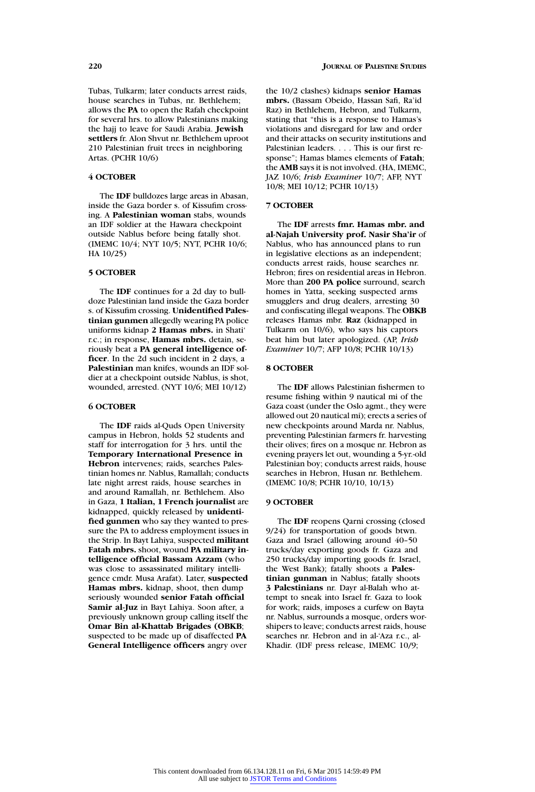Tubas, Tulkarm; later conducts arrest raids, house searches in Tubas, nr. Bethlehem; allows the **PA** to open the Rafah checkpoint for several hrs. to allow Palestinians making the hajj to leave for Saudi Arabia. **Jewish settlers** fr. Alon Shvut nr. Bethlehem uproot 210 Palestinian fruit trees in neighboring Artas. (PCHR 10/6)

# **4 OCTOBER**

The **IDF** bulldozes large areas in Abasan, inside the Gaza border s. of Kissufim crossing. A **Palestinian woman** stabs, wounds an IDF soldier at the Hawara checkpoint outside Nablus before being fatally shot. (IMEMC 10/4; NYT 10/5; NYT, PCHR 10/6; HA 10/25)

# **5 OCTOBER**

The **IDF** continues for a 2d day to bulldoze Palestinian land inside the Gaza border s. of Kissufim crossing. **Unidentified Palestinian gunmen** allegedly wearing PA police uniforms kidnap **2 Hamas mbrs.** in Shati' r.c.; in response, **Hamas mbrs.** detain, seriously beat a **PA general intelligence officer**. In the 2d such incident in 2 days, a **Palestinian** man knifes, wounds an IDF soldier at a checkpoint outside Nablus, is shot, wounded, arrested. (NYT 10/6; MEI 10/12)

### **6 OCTOBER**

The **IDF** raids al-Quds Open University campus in Hebron, holds 52 students and staff for interrogation for 3 hrs. until the **Temporary International Presence in Hebron** intervenes; raids, searches Palestinian homes nr. Nablus, Ramallah; conducts late night arrest raids, house searches in and around Ramallah, nr. Bethlehem. Also in Gaza, **1 Italian, 1 French journalist** are kidnapped, quickly released by **unidentified gunmen** who say they wanted to pressure the PA to address employment issues in the Strip. In Bayt Lahiya, suspected **militant Fatah mbrs.** shoot, wound **PA military intelligence official Bassam Azzam** (who was close to assassinated military intelligence cmdr. Musa Arafat). Later, **suspected Hamas mbrs.** kidnap, shoot, then dump seriously wounded **senior Fatah official Samir al-Juz** in Bayt Lahiya. Soon after, a previously unknown group calling itself the **Omar Bin al-Khattab Brigades (OBKB**; suspected to be made up of disaffected **PA General Intelligence officers** angry over

the 10/2 clashes) kidnaps **senior Hamas mbrs.** (Bassam Obeido, Hassan Safi, Ra'id Raz) in Bethlehem, Hebron, and Tulkarm, stating that "this is a response to Hamas's violations and disregard for law and order and their attacks on security institutions and Palestinian leaders.... This is our first response"; Hamas blames elements of **Fatah**; the **AMB** says it is not involved. (HA, IMEMC, JAZ 10/6; *Irish Examiner* 10/7; AFP, NYT 10/8; MEI 10/12; PCHR 10/13)

#### **7 OCTOBER**

The **IDF** arrests **fmr. Hamas mbr. and al-Najah University prof. Nasir Sha'ir** of Nablus, who has announced plans to run in legislative elections as an independent; conducts arrest raids, house searches nr. Hebron; fires on residential areas in Hebron. More than **200 PA police** surround, search homes in Yatta, seeking suspected arms smugglers and drug dealers, arresting 30 and confiscating illegal weapons. The **OBKB** releases Hamas mbr. **Raz** (kidnapped in Tulkarm on 10/6), who says his captors beat him but later apologized. (AP, *Irish Examiner* 10/7; AFP 10/8; PCHR 10/13)

# **8 OCTOBER**

The **IDF** allows Palestinian fishermen to resume fishing within 9 nautical mi of the Gaza coast (under the Oslo agmt., they were allowed out 20 nautical mi); erects a series of new checkpoints around Marda nr. Nablus, preventing Palestinian farmers fr. harvesting their olives; fires on a mosque nr. Hebron as evening prayers let out, wounding a 5-yr.-old Palestinian boy; conducts arrest raids, house searches in Hebron, Husan nr. Bethlehem. (IMEMC 10/8; PCHR 10/10, 10/13)

# **9 OCTOBER**

The **IDF** reopens Qarni crossing (closed 9/24) for transportation of goods btwn. Gaza and Israel (allowing around 40–50 trucks/day exporting goods fr. Gaza and 250 trucks/day importing goods fr. Israel, the West Bank); fatally shoots a **Palestinian gunman** in Nablus; fatally shoots **3 Palestinians** nr. Dayr al-Balah who attempt to sneak into Israel fr. Gaza to look for work; raids, imposes a curfew on Bayta nr. Nablus, surrounds a mosque, orders worshipers to leave; conducts arrest raids, house searches nr. Hebron and in al-'Aza r.c., al-Khadir. (IDF press release, IMEMC 10/9;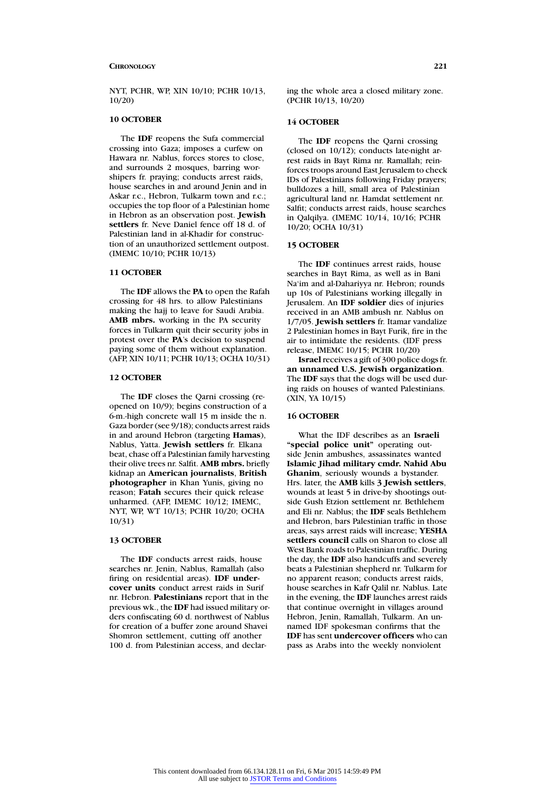NYT, PCHR, WP, XIN 10/10; PCHR 10/13, 10/20)

# **10 OCTOBER**

The **IDF** reopens the Sufa commercial crossing into Gaza; imposes a curfew on Hawara nr. Nablus, forces stores to close, and surrounds 2 mosques, barring worshipers fr. praying; conducts arrest raids, house searches in and around Jenin and in Askar r.c., Hebron, Tulkarm town and r.c.; occupies the top floor of a Palestinian home in Hebron as an observation post. **Jewish settlers** fr. Neve Daniel fence off 18 d. of Palestinian land in al-Khadir for construction of an unauthorized settlement outpost. (IMEMC 10/10; PCHR 10/13)

# **11 OCTOBER**

The **IDF** allows the **PA** to open the Rafah crossing for 48 hrs. to allow Palestinians making the hajj to leave for Saudi Arabia. **AMB mbrs.** working in the PA security forces in Tulkarm quit their security jobs in protest over the **PA**'s decision to suspend paying some of them without explanation. (AFP, XIN 10/11; PCHR 10/13; OCHA 10/31)

# **12 OCTOBER**

The **IDF** closes the Qarni crossing (reopened on 10/9); begins construction of a 6-m.-high concrete wall 15 m inside the n. Gaza border (see 9/18); conducts arrest raids in and around Hebron (targeting **Hamas**), Nablus, Yatta. **Jewish settlers** fr. Elkana beat, chase off a Palestinian family harvesting their olive trees nr. Salfit. **AMB mbrs.** briefly kidnap an **American journalists**, **British photographer** in Khan Yunis, giving no reason; **Fatah** secures their quick release unharmed. (AFP, IMEMC 10/12; IMEMC, NYT, WP, WT 10/13; PCHR 10/20; OCHA 10/31)

# **13 OCTOBER**

The **IDF** conducts arrest raids, house searches nr. Jenin, Nablus, Ramallah (also firing on residential areas). **IDF undercover units** conduct arrest raids in Surif nr. Hebron. **Palestinians** report that in the previous wk., the **IDF** had issued military orders confiscating 60 d. northwest of Nablus for creation of a buffer zone around Shavei Shomron settlement, cutting off another 100 d. from Palestinian access, and declaring the whole area a closed military zone. (PCHR 10/13, 10/20)

# **14 OCTOBER**

The **IDF** reopens the Qarni crossing (closed on  $10/12$ ); conducts late-night arrest raids in Bayt Rima nr. Ramallah; reinforces troops around East Jerusalem to check IDs of Palestinians following Friday prayers; bulldozes a hill, small area of Palestinian agricultural land nr. Hamdat settlement nr. Salfit; conducts arrest raids, house searches in Qalqilya. (IMEMC 10/14, 10/16; PCHR 10/20; OCHA 10/31)

#### **15 OCTOBER**

The **IDF** continues arrest raids, house searches in Bayt Rima, as well as in Bani Na'im and al-Dahariyya nr. Hebron; rounds up 10s of Palestinians working illegally in Jerusalem. An **IDF soldier** dies of injuries received in an AMB ambush nr. Nablus on 1/7/05. **Jewish settlers** fr. Itamar vandalize 2 Palestinian homes in Bayt Furik, fire in the air to intimidate the residents. (IDF press release, IMEMC 10/15; PCHR 10/20)

**Israel**receives a gift of 300 police dogs fr. **an unnamed U.S. Jewish organization**. The **IDF** says that the dogs will be used during raids on houses of wanted Palestinians. (XIN, YA 10/15)

# **16 OCTOBER**

What the IDF describes as an **Israeli "special police unit"** operating outside Jenin ambushes, assassinates wanted **Islamic Jihad military cmdr. Nahid Abu Ghanim**, seriously wounds a bystander. Hrs. later, the **AMB** kills **3 Jewish settlers**, wounds at least 5 in drive-by shootings outside Gush Etzion settlement nr. Bethlehem and Eli nr. Nablus; the **IDF** seals Bethlehem and Hebron, bars Palestinian traffic in those areas, says arrest raids will increase; **YESHA settlers council** calls on Sharon to close all West Bank roads to Palestinian traffic. During the day, the **IDF** also handcuffs and severely beats a Palestinian shepherd nr. Tulkarm for no apparent reason; conducts arrest raids, house searches in Kafr Qalil nr. Nablus. Late in the evening, the **IDF** launches arrest raids that continue overnight in villages around Hebron, Jenin, Ramallah, Tulkarm. An unnamed IDF spokesman confirms that the **IDF** has sent **undercover officers** who can pass as Arabs into the weekly nonviolent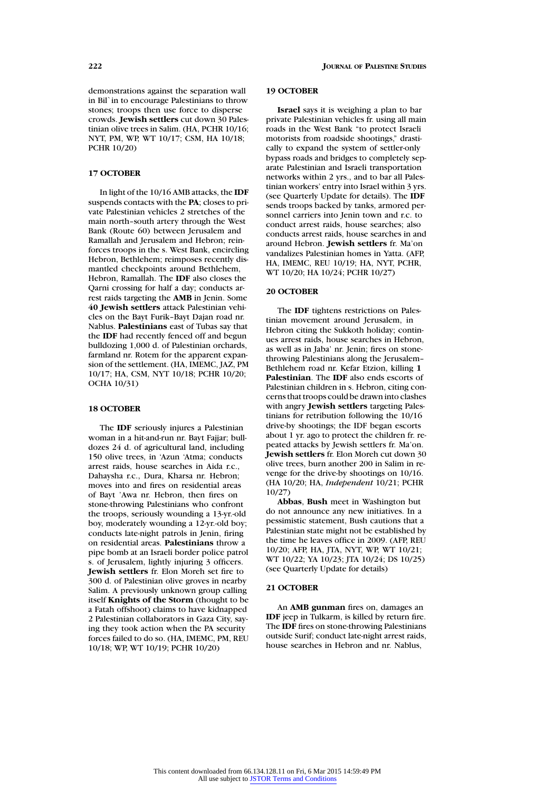demonstrations against the separation wall in Bil`in to encourage Palestinians to throw stones; troops then use force to disperse crowds. **Jewish settlers** cut down 30 Palestinian olive trees in Salim. (HA, PCHR 10/16; NYT, PM, WP, WT 10/17; CSM, HA 10/18; PCHR 10/20)

### **17 OCTOBER**

In light of the 10/16 AMB attacks, the **IDF** suspends contacts with the **PA**; closes to private Palestinian vehicles 2 stretches of the main north–south artery through the West Bank (Route 60) between Jerusalem and Ramallah and Jerusalem and Hebron; reinforces troops in the s. West Bank, encircling Hebron, Bethlehem; reimposes recently dismantled checkpoints around Bethlehem, Hebron, Ramallah. The **IDF** also closes the Qarni crossing for half a day; conducts arrest raids targeting the **AMB** in Jenin. Some **40 Jewish settlers** attack Palestinian vehicles on the Bayt Furik–Bayt Dajan road nr. Nablus. **Palestinians** east of Tubas say that the **IDF** had recently fenced off and begun bulldozing 1,000 d. of Palestinian orchards, farmland nr. Rotem for the apparent expansion of the settlement. (HA, IMEMC, JAZ, PM 10/17; HA, CSM, NYT 10/18; PCHR 10/20; OCHA 10/31)

### **18 OCTOBER**

The **IDF** seriously injures a Palestinian woman in a hit-and-run nr. Bayt Fajjar; bulldozes 24 d. of agricultural land, including 150 olive trees, in 'Azun 'Atma; conducts arrest raids, house searches in Aida r.c., Dahaysha r.c., Dura, Kharsa nr. Hebron; moves into and fires on residential areas of Bayt 'Awa nr. Hebron, then fires on stone-throwing Palestinians who confront the troops, seriously wounding a 13-yr.-old boy, moderately wounding a 12-yr.-old boy; conducts late-night patrols in Jenin, firing on residential areas. **Palestinians** throw a pipe bomb at an Israeli border police patrol s. of Jerusalem, lightly injuring 3 officers. **Jewish settlers** fr. Elon Moreh set fire to 300 d. of Palestinian olive groves in nearby Salim. A previously unknown group calling itself **Knights of the Storm** (thought to be a Fatah offshoot) claims to have kidnapped 2 Palestinian collaborators in Gaza City, saying they took action when the PA security forces failed to do so. (HA, IMEMC, PM, REU 10/18; WP, WT 10/19; PCHR 10/20)

### **19 OCTOBER**

**Israel** says it is weighing a plan to bar private Palestinian vehicles fr. using all main roads in the West Bank "to protect Israeli motorists from roadside shootings," drastically to expand the system of settler-only bypass roads and bridges to completely separate Palestinian and Israeli transportation networks within 2 yrs., and to bar all Palestinian workers' entry into Israel within 3 yrs. (see Quarterly Update for details). The **IDF** sends troops backed by tanks, armored personnel carriers into Jenin town and r.c. to conduct arrest raids, house searches; also conducts arrest raids, house searches in and around Hebron. **Jewish settlers** fr. Ma'on vandalizes Palestinian homes in Yatta. (AFP, HA, IMEMC, REU 10/19; HA, NYT, PCHR, WT 10/20; HA 10/24; PCHR 10/27)

### **20 OCTOBER**

The **IDF** tightens restrictions on Palestinian movement around Jerusalem, in Hebron citing the Sukkoth holiday; continues arrest raids, house searches in Hebron, as well as in Jaba' nr. Jenin; fires on stonethrowing Palestinians along the Jerusalem– Bethlehem road nr. Kefar Etzion, killing **1 Palestinian**. The **IDF** also ends escorts of Palestinian children in s. Hebron, citing concerns that troops could be drawn into clashes with angry **Jewish settlers** targeting Palestinians for retribution following the 10/16 drive-by shootings; the IDF began escorts about 1 yr. ago to protect the children fr. repeated attacks by Jewish settlers fr. Ma'on. **Jewish settlers** fr. Elon Moreh cut down 30 olive trees, burn another 200 in Salim in revenge for the drive-by shootings on 10/16. (HA 10/20; HA, *Independent* 10/21; PCHR 10/27)

**Abbas**, **Bush** meet in Washington but do not announce any new initiatives. In a pessimistic statement, Bush cautions that a Palestinian state might not be established by the time he leaves office in 2009. (AFP, REU 10/20; AFP, HA, JTA, NYT, WP, WT 10/21; WT 10/22; YA 10/23; JTA 10/24; DS 10/25) (see Quarterly Update for details)

#### **21 OCTOBER**

An **AMB gunman** fires on, damages an **IDF** jeep in Tulkarm, is killed by return fire. The **IDF** fires on stone-throwing Palestinians outside Surif; conduct late-night arrest raids, house searches in Hebron and nr. Nablus,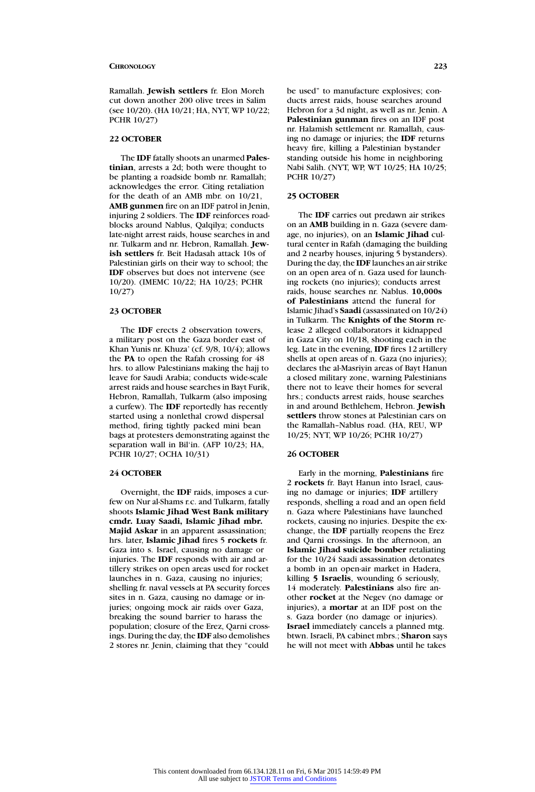Ramallah. **Jewish settlers** fr. Elon Moreh cut down another 200 olive trees in Salim (see 10/20). (HA 10/21; HA, NYT, WP 10/22; PCHR 10/27)

#### **22 OCTOBER**

The **IDF** fatally shoots an unarmed **Palestinian**, arrests a 2d; both were thought to be planting a roadside bomb nr. Ramallah; acknowledges the error. Citing retaliation for the death of an AMB mbr. on 10/21, **AMB gunmen** fire on an IDF patrol in Jenin, injuring 2 soldiers. The **IDF** reinforces roadblocks around Nablus, Qalqilya; conducts late-night arrest raids, house searches in and nr. Tulkarm and nr. Hebron, Ramallah. **Jewish settlers** fr. Beit Hadasah attack 10s of Palestinian girls on their way to school; the **IDF** observes but does not intervene (see 10/20). (IMEMC 10/22; HA 10/23; PCHR 10/27)

#### **23 OCTOBER**

The **IDF** erects 2 observation towers, a military post on the Gaza border east of Khan Yunis nr. Khuza' (cf. 9/8, 10/4); allows the **PA** to open the Rafah crossing for 48 hrs. to allow Palestinians making the hajj to leave for Saudi Arabia; conducts wide-scale arrest raids and house searches in Bayt Furik, Hebron, Ramallah, Tulkarm (also imposing a curfew). The **IDF** reportedly has recently started using a nonlethal crowd dispersal method, firing tightly packed mini bean bags at protesters demonstrating against the separation wall in Bil'in. (AFP 10/23; HA, PCHR 10/27; OCHA 10/31)

# **24 OCTOBER**

Overnight, the **IDF** raids, imposes a curfew on Nur al-Shams r.c. and Tulkarm, fatally shoots **Islamic Jihad West Bank military cmdr. Luay Saadi, Islamic Jihad mbr. Majid Askar** in an apparent assassination; hrs. later, **Islamic Jihad** fires 5 **rockets** fr. Gaza into s. Israel, causing no damage or injuries. The **IDF** responds with air and artillery strikes on open areas used for rocket launches in n. Gaza, causing no injuries; shelling fr. naval vessels at PA security forces sites in n. Gaza, causing no damage or injuries; ongoing mock air raids over Gaza, breaking the sound barrier to harass the population; closure of the Erez, Qarni crossings. During the day, the **IDF** also demolishes 2 stores nr. Jenin, claiming that they "could

be used" to manufacture explosives; conducts arrest raids, house searches around Hebron for a 3d night, as well as nr. Jenin. A **Palestinian gunman** fires on an IDF post nr. Halamish settlement nr. Ramallah, causing no damage or injuries; the **IDF** returns heavy fire, killing a Palestinian bystander standing outside his home in neighboring Nabi Salih. (NYT, WP, WT 10/25; HA 10/25; PCHR 10/27)

# **25 OCTOBER**

The **IDF** carries out predawn air strikes on an **AMB** building in n. Gaza (severe damage, no injuries), on an **Islamic Jihad** cultural center in Rafah (damaging the building and 2 nearby houses, injuring 5 bystanders). During the day, the **IDF** launches an air strike on an open area of n. Gaza used for launching rockets (no injuries); conducts arrest raids, house searches nr. Nablus. **10,000s of Palestinians** attend the funeral for Islamic Jihad's **Saadi** (assassinated on 10/24) in Tulkarm. The **Knights of the Storm** release 2 alleged collaborators it kidnapped in Gaza City on 10/18, shooting each in the leg. Late in the evening, **IDF** fires 12 artillery shells at open areas of n. Gaza (no injuries); declares the al-Masriyin areas of Bayt Hanun a closed military zone, warning Palestinians there not to leave their homes for several hrs.; conducts arrest raids, house searches in and around Bethlehem, Hebron. **Jewish settlers** throw stones at Palestinian cars on the Ramallah–Nablus road. (HA, REU, WP 10/25; NYT, WP 10/26; PCHR 10/27)

#### **26 OCTOBER**

Early in the morning, **Palestinians** fire 2 **rockets** fr. Bayt Hanun into Israel, causing no damage or injuries; **IDF** artillery responds, shelling a road and an open field n. Gaza where Palestinians have launched rockets, causing no injuries. Despite the exchange, the **IDF** partially reopens the Erez and Qarni crossings. In the afternoon, an **Islamic Jihad suicide bomber** retaliating for the 10/24 Saadi assassination detonates a bomb in an open-air market in Hadera, killing **5 Israelis**, wounding 6 seriously, 14 moderately. **Palestinians** also fire another **rocket** at the Negev (no damage or injuries), a **mortar** at an IDF post on the s. Gaza border (no damage or injuries). **Israel** immediately cancels a planned mtg. btwn. Israeli, PA cabinet mbrs.; **Sharon** says he will not meet with **Abbas** until he takes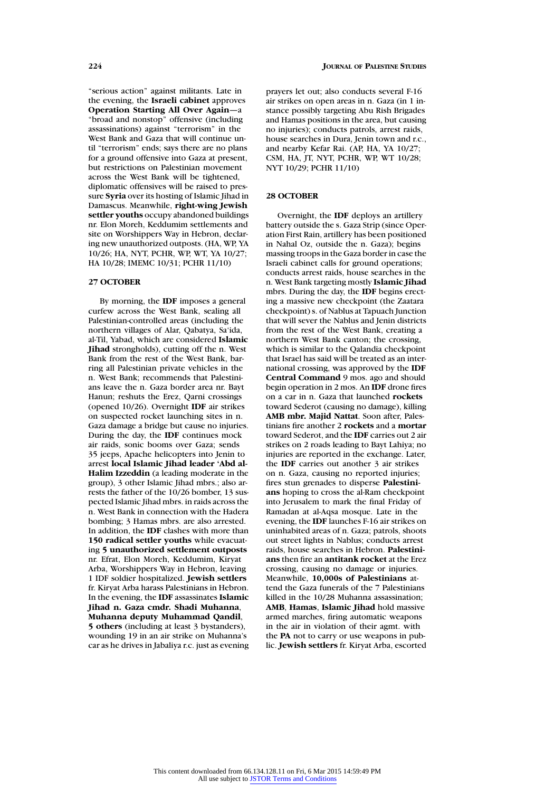"serious action" against militants. Late in the evening, the **Israeli cabinet** approves **Operation Starting All Over Again**—a "broad and nonstop" offensive (including assassinations) against "terrorism" in the West Bank and Gaza that will continue until "terrorism" ends; says there are no plans for a ground offensive into Gaza at present, but restrictions on Palestinian movement across the West Bank will be tightened, diplomatic offensives will be raised to pressure **Syria** over its hosting of Islamic Jihad in Damascus. Meanwhile, **right-wing Jewish settler youths** occupy abandoned buildings nr. Elon Moreh, Keddumim settlements and site on Worshippers Way in Hebron, declaring new unauthorized outposts. (HA, WP, YA 10/26; HA, NYT, PCHR, WP, WT, YA 10/27; HA 10/28; IMEMC 10/31; PCHR 11/10)

### **27 OCTOBER**

By morning, the **IDF** imposes a general curfew across the West Bank, sealing all Palestinian-controlled areas (including the northern villages of Alar, Qabatya, Sa'ida, al-Til, Yabad, which are considered **Islamic Jihad** strongholds), cutting off the n. West Bank from the rest of the West Bank, barring all Palestinian private vehicles in the n. West Bank; recommends that Palestinians leave the n. Gaza border area nr. Bayt Hanun; reshuts the Erez, Qarni crossings (opened 10/26). Overnight **IDF** air strikes on suspected rocket launching sites in n. Gaza damage a bridge but cause no injuries. During the day, the **IDF** continues mock air raids, sonic booms over Gaza; sends 35 jeeps, Apache helicopters into Jenin to arrest **local Islamic Jihad leader 'Abd al-Halim Izzeddin** (a leading moderate in the group), 3 other Islamic Jihad mbrs.; also arrests the father of the 10/26 bomber, 13 suspected Islamic Jihad mbrs. in raids across the n. West Bank in connection with the Hadera bombing; 3 Hamas mbrs. are also arrested. In addition, the **IDF** clashes with more than **150 radical settler youths** while evacuating **5 unauthorized settlement outposts** nr. Efrat, Elon Moreh, Keddumim, Kiryat Arba, Worshippers Way in Hebron, leaving 1 IDF soldier hospitalized. **Jewish settlers** fr. Kiryat Arba harass Palestinians in Hebron. In the evening, the **IDF** assassinates **Islamic Jihad n. Gaza cmdr. Shadi Muhanna**, **Muhanna deputy Muhammad Qandil**, **5 others** (including at least 3 bystanders), wounding 19 in an air strike on Muhanna's car as he drives in Jabaliya r.c. just as evening prayers let out; also conducts several F-16 air strikes on open areas in n. Gaza (in 1 instance possibly targeting Abu Rish Brigades and Hamas positions in the area, but causing no injuries); conducts patrols, arrest raids, house searches in Dura, Jenin town and r.c., and nearby Kefar Rai. (AP, HA, YA 10/27; CSM, HA, JT, NYT, PCHR, WP, WT 10/28; NYT 10/29; PCHR 11/10)

# **28 OCTOBER**

Overnight, the **IDF** deploys an artillery battery outside the s. Gaza Strip (since Operation First Rain, artillery has been positioned in Nahal Oz, outside the n. Gaza); begins massing troops in the Gaza border in case the Israeli cabinet calls for ground operations; conducts arrest raids, house searches in the n. West Bank targeting mostly **Islamic Jihad** mbrs. During the day, the **IDF** begins erecting a massive new checkpoint (the Zaatara checkpoint) s. of Nablus at Tapuach Junction that will sever the Nablus and Jenin districts from the rest of the West Bank, creating a northern West Bank canton; the crossing, which is similar to the Qalandia checkpoint that Israel has said will be treated as an international crossing, was approved by the **IDF Central Command** 9 mos. ago and should begin operation in 2 mos. An **IDF** drone fires on a car in n. Gaza that launched **rockets** toward Sederot (causing no damage), killing **AMB mbr. Majid Nattat**. Soon after, Palestinians fire another 2 **rockets** and a **mortar** toward Sederot, and the **IDF** carries out 2 air strikes on 2 roads leading to Bayt Lahiya; no injuries are reported in the exchange. Later, the **IDF** carries out another 3 air strikes on n. Gaza, causing no reported injuries; fires stun grenades to disperse **Palestinians** hoping to cross the al-Ram checkpoint into Jerusalem to mark the final Friday of Ramadan at al-Aqsa mosque. Late in the evening, the **IDF** launches F-16 air strikes on uninhabited areas of n. Gaza; patrols, shoots out street lights in Nablus; conducts arrest raids, house searches in Hebron. **Palestinians** then fire an **antitank rocket** at the Erez crossing, causing no damage or injuries. Meanwhile, **10,000s of Palestinians** attend the Gaza funerals of the 7 Palestinians killed in the 10/28 Muhanna assassination; **AMB**, **Hamas**, **Islamic Jihad** hold massive armed marches, firing automatic weapons in the air in violation of their agmt. with the **PA** not to carry or use weapons in public. **Jewish settlers** fr. Kiryat Arba, escorted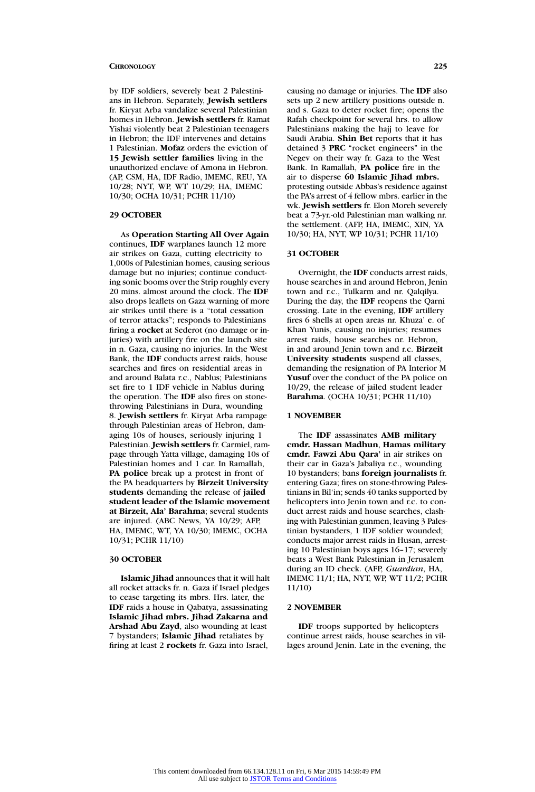by IDF soldiers, severely beat 2 Palestinians in Hebron. Separately, **Jewish settlers** fr. Kiryat Arba vandalize several Palestinian homes in Hebron. **Jewish settlers** fr. Ramat Yishai violently beat 2 Palestinian teenagers in Hebron; the IDF intervenes and detains 1 Palestinian. **Mofaz** orders the eviction of **15 Jewish settler families** living in the unauthorized enclave of Amona in Hebron. (AP, CSM, HA, IDF Radio, IMEMC, REU, YA 10/28; NYT, WP, WT 10/29; HA, IMEMC 10/30; OCHA 10/31; PCHR 11/10)

# **29 OCTOBER**

As **Operation Starting All Over Again** continues, **IDF** warplanes launch 12 more air strikes on Gaza, cutting electricity to 1,000s of Palestinian homes, causing serious damage but no injuries; continue conducting sonic booms over the Strip roughly every 20 mins. almost around the clock. The **IDF** also drops leaflets on Gaza warning of more air strikes until there is a "total cessation of terror attacks"; responds to Palestinians firing a **rocket** at Sederot (no damage or injuries) with artillery fire on the launch site in n. Gaza, causing no injuries. In the West Bank, the **IDF** conducts arrest raids, house searches and fires on residential areas in and around Balata r.c., Nablus; Palestinians set fire to 1 IDF vehicle in Nablus during the operation. The **IDF** also fires on stonethrowing Palestinians in Dura, wounding 8. **Jewish settlers** fr. Kiryat Arba rampage through Palestinian areas of Hebron, damaging 10s of houses, seriously injuring 1 Palestinian. **Jewish settlers** fr. Carmiel, rampage through Yatta village, damaging 10s of Palestinian homes and 1 car. In Ramallah, **PA police** break up a protest in front of the PA headquarters by **Birzeit University students** demanding the release of **jailed student leader of the Islamic movement at Birzeit, Ala' Barahma**; several students are injured. (ABC News, YA 10/29; AFP, HA, IMEMC, WT, YA 10/30; IMEMC, OCHA 10/31; PCHR 11/10)

#### **30 OCTOBER**

**Islamic Jihad** announces that it will halt all rocket attacks fr. n. Gaza if Israel pledges to cease targeting its mbrs. Hrs. later, the **IDF** raids a house in Qabatya, assassinating **Islamic Jihad mbrs. Jihad Zakarna and Arshad Abu Zayd**, also wounding at least 7 bystanders; **Islamic Jihad** retaliates by firing at least 2 **rockets** fr. Gaza into Israel,

causing no damage or injuries. The **IDF** also sets up 2 new artillery positions outside n. and s. Gaza to deter rocket fire; opens the Rafah checkpoint for several hrs. to allow Palestinians making the hajj to leave for Saudi Arabia. **Shin Bet** reports that it has detained 3 **PRC** "rocket engineers" in the Negev on their way fr. Gaza to the West Bank. In Ramallah, **PA police** fire in the air to disperse **60 Islamic Jihad mbrs.** protesting outside Abbas's residence against the PA's arrest of 4 fellow mbrs. earlier in the wk. **Jewish settlers** fr. Elon Moreh severely beat a 73-yr.-old Palestinian man walking nr. the settlement. (AFP, HA, IMEMC, XIN, YA 10/30; HA, NYT, WP 10/31; PCHR 11/10)

#### **31 OCTOBER**

Overnight, the **IDF** conducts arrest raids, house searches in and around Hebron, Jenin town and r.c., Tulkarm and nr. Qalqilya. During the day, the **IDF** reopens the Qarni crossing. Late in the evening, **IDF** artillery fires 6 shells at open areas nr. Khuza' e. of Khan Yunis, causing no injuries; resumes arrest raids, house searches nr. Hebron, in and around Jenin town and r.c. **Birzeit University students** suspend all classes, demanding the resignation of PA Interior M **Yusuf** over the conduct of the PA police on 10/29, the release of jailed student leader **Barahma**. (OCHA 10/31; PCHR 11/10)

#### **1 NOVEMBER**

The **IDF** assassinates **AMB military cmdr. Hassan Madhun**, **Hamas military cmdr. Fawzi Abu Qara'** in air strikes on their car in Gaza's Jabaliya r.c., wounding 10 bystanders; bans **foreign journalists** fr. entering Gaza; fires on stone-throwing Palestinians in Bil'in; sends 40 tanks supported by helicopters into Jenin town and r.c. to conduct arrest raids and house searches, clashing with Palestinian gunmen, leaving 3 Palestinian bystanders, 1 IDF soldier wounded; conducts major arrest raids in Husan, arresting 10 Palestinian boys ages 16–17; severely beats a West Bank Palestinian in Jerusalem during an ID check. (AFP, *Guardian*, HA, IMEMC 11/1; HA, NYT, WP, WT 11/2; PCHR 11/10)

### **2 NOVEMBER**

**IDF** troops supported by helicopters continue arrest raids, house searches in villages around Jenin. Late in the evening, the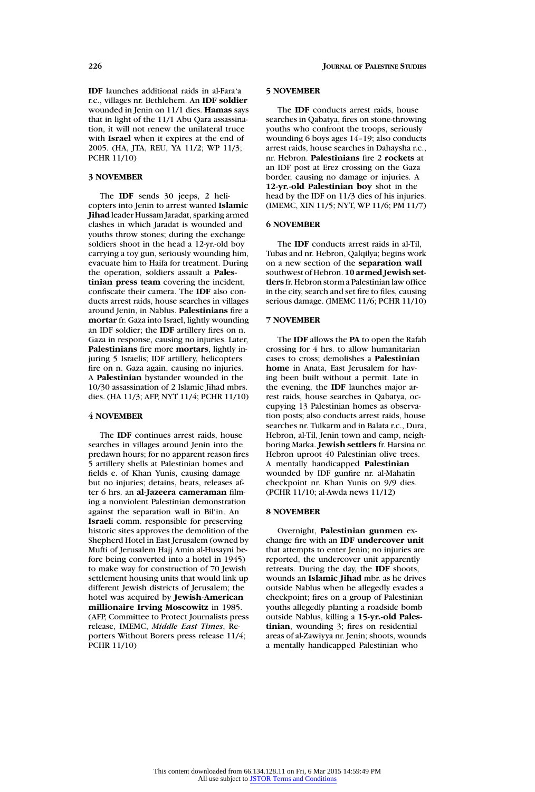**IDF** launches additional raids in al-Fara'a r.c., villages nr. Bethlehem. An **IDF soldier** wounded in Jenin on 11/1 dies. **Hamas** says that in light of the 11/1 Abu Qara assassination, it will not renew the unilateral truce with **Israel** when it expires at the end of 2005. (HA, JTA, REU, YA 11/2; WP 11/3; PCHR 11/10)

# **3 NOVEMBER**

The **IDF** sends 30 jeeps, 2 helicopters into Jenin to arrest wanted **Islamic Jihad** leader Hussam Jaradat, sparking armed clashes in which Jaradat is wounded and youths throw stones; during the exchange soldiers shoot in the head a 12-yr.-old boy carrying a toy gun, seriously wounding him, evacuate him to Haifa for treatment. During the operation, soldiers assault a **Palestinian press team** covering the incident, confiscate their camera. The **IDF** also conducts arrest raids, house searches in villages around Jenin, in Nablus. **Palestinians** fire a **mortar** fr. Gaza into Israel, lightly wounding an IDF soldier; the **IDF** artillery fires on n. Gaza in response, causing no injuries. Later, **Palestinians** fire more **mortars**, lightly injuring 5 Israelis; IDF artillery, helicopters fire on n. Gaza again, causing no injuries. A **Palestinian** bystander wounded in the 10/30 assassination of 2 Islamic Jihad mbrs. dies. (HA 11/3; AFP, NYT 11/4; PCHR 11/10)

# **4 NOVEMBER**

The **IDF** continues arrest raids, house searches in villages around Jenin into the predawn hours; for no apparent reason fires 5 artillery shells at Palestinian homes and fields e. of Khan Yunis, causing damage but no injuries; detains, beats, releases after 6 hrs. an **al-Jazeera cameraman** filming a nonviolent Palestinian demonstration against the separation wall in Bil'in. An **Israel**i comm. responsible for preserving historic sites approves the demolition of the Shepherd Hotel in East Jerusalem (owned by Mufti of Jerusalem Hajj Amin al-Husayni before being converted into a hotel in 1945) to make way for construction of 70 Jewish settlement housing units that would link up different Jewish districts of Jerusalem; the hotel was acquired by **Jewish-American millionaire Irving Moscowitz** in 1985. (AFP, Committee to Protect Journalists press release, IMEMC, *Middle East Times*, Reporters Without Borers press release 11/4; PCHR 11/10)

### **5 NOVEMBER**

The **IDF** conducts arrest raids, house searches in Qabatya, fires on stone-throwing youths who confront the troops, seriously wounding 6 boys ages 14–19; also conducts arrest raids, house searches in Dahaysha r.c., nr. Hebron. **Palestinians** fire 2 **rockets** at an IDF post at Erez crossing on the Gaza border, causing no damage or injuries. A **12-yr.-old Palestinian boy** shot in the head by the IDF on 11/3 dies of his injuries. (IMEMC, XIN 11/5; NYT, WP 11/6; PM 11/7)

# **6 NOVEMBER**

The **IDF** conducts arrest raids in al-Til, Tubas and nr. Hebron, Qalqilya; begins work on a new section of the **separation wall** southwest of Hebron. **10 armed Jewish settlers** fr. Hebron storm a Palestinian law office in the city, search and set fire to files, causing serious damage. (IMEMC 11/6; PCHR 11/10)

# **7 NOVEMBER**

The **IDF** allows the **PA** to open the Rafah crossing for 4 hrs. to allow humanitarian cases to cross; demolishes a **Palestinian home** in Anata, East Jerusalem for having been built without a permit. Late in the evening, the **IDF** launches major arrest raids, house searches in Qabatya, occupying 13 Palestinian homes as observation posts; also conducts arrest raids, house searches nr. Tulkarm and in Balata r.c., Dura, Hebron, al-Til, Jenin town and camp, neighboring Marka. **Jewish settlers** fr. Harsina nr. Hebron uproot 40 Palestinian olive trees. A mentally handicapped **Palestinian** wounded by IDF gunfire nr. al-Mahatin checkpoint nr. Khan Yunis on 9/9 dies. (PCHR 11/10; al-Awda news 11/12)

#### **8 NOVEMBER**

Overnight, **Palestinian gunmen** exchange fire with an **IDF undercover unit** that attempts to enter Jenin; no injuries are reported, the undercover unit apparently retreats. During the day, the **IDF** shoots, wounds an **Islamic Jihad** mbr. as he drives outside Nablus when he allegedly evades a checkpoint; fires on a group of Palestinian youths allegedly planting a roadside bomb outside Nablus, killing a **15-yr.-old Palestinian**, wounding 3; fires on residential areas of al-Zawiyya nr. Jenin; shoots, wounds a mentally handicapped Palestinian who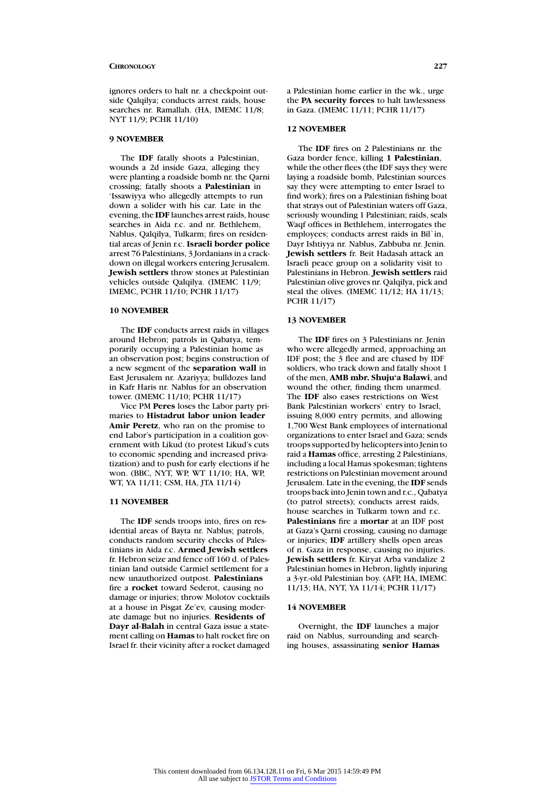ignores orders to halt nr. a checkpoint outside Qalqilya; conducts arrest raids, house searches nr. Ramallah. (HA, IMEMC 11/8; NYT 11/9; PCHR 11/10)

#### **9 NOVEMBER**

The **IDF** fatally shoots a Palestinian, wounds a 2d inside Gaza, alleging they were planting a roadside bomb nr. the Qarni crossing; fatally shoots a **Palestinian** in 'Issawiyya who allegedly attempts to run down a solider with his car. Late in the evening, the **IDF** launches arrest raids, house searches in Aida r.c. and nr. Bethlehem, Nablus, Qalqilya, Tulkarm; fires on residential areas of Jenin r.c. **Israeli border police** arrest 76 Palestinians, 3 Jordanians in a crackdown on illegal workers entering Jerusalem. **Jewish settlers** throw stones at Palestinian vehicles outside Qalqilya. (IMEMC 11/9; IMEMC, PCHR 11/10; PCHR 11/17)

#### **10 NOVEMBER**

The **IDF** conducts arrest raids in villages around Hebron; patrols in Qabatya, temporarily occupying a Palestinian home as an observation post; begins construction of a new segment of the **separation wall** in East Jerusalem nr. Azariyya; bulldozes land in Kafr Haris nr. Nablus for an observation tower. (IMEMC 11/10; PCHR 11/17)

Vice PM **Peres** loses the Labor party primaries to **Histadrut labor union leader Amir Peretz**, who ran on the promise to end Labor's participation in a coalition government with Likud (to protest Likud's cuts to economic spending and increased privatization) and to push for early elections if he won. (BBC, NYT, WP, WT 11/10; HA, WP, WT, YA 11/11; CSM, HA, JTA 11/14)

# **11 NOVEMBER**

The **IDF** sends troops into, fires on residential areas of Bayta nr. Nablus; patrols, conducts random security checks of Palestinians in Aida r.c. **Armed Jewish settlers** fr. Hebron seize and fence off 160 d. of Palestinian land outside Carmiel settlement for a new unauthorized outpost. **Palestinians** fire a **rocket** toward Sederot, causing no damage or injuries; throw Molotov cocktails at a house in Pisgat Ze'ev, causing moderate damage but no injuries. **Residents of Dayr al-Balah** in central Gaza issue a statement calling on **Hamas** to halt rocket fire on Israel fr. their vicinity after a rocket damaged

a Palestinian home earlier in the wk., urge the **PA security forces** to halt lawlessness in Gaza. (IMEMC 11/11; PCHR 11/17)

### **12 NOVEMBER**

The **IDF** fires on 2 Palestinians nr. the Gaza border fence, killing **1 Palestinian**, while the other flees (the IDF says they were laying a roadside bomb, Palestinian sources say they were attempting to enter Israel to find work); fires on a Palestinian fishing boat that strays out of Palestinian waters off Gaza, seriously wounding 1 Palestinian; raids, seals Waqf offices in Bethlehem, interrogates the employees; conducts arrest raids in Bil`in, Dayr Ishtiyya nr. Nablus, Zabbuba nr. Jenin. **Jewish settlers** fr. Beit Hadasah attack an Israeli peace group on a solidarity visit to Palestinians in Hebron. **Jewish settlers** raid Palestinian olive groves nr. Qalqilya, pick and steal the olives. (IMEMC 11/12; HA 11/13; PCHR 11/17)

# **13 NOVEMBER**

The **IDF** fires on 3 Palestinians nr. Jenin who were allegedly armed, approaching an IDF post; the 3 flee and are chased by IDF soldiers, who track down and fatally shoot 1 of the men, **AMB mbr. Shuju'a Balawi**, and wound the other, finding them unarmed. The **IDF** also eases restrictions on West Bank Palestinian workers' entry to Israel, issuing 8,000 entry permits, and allowing 1,700 West Bank employees of international organizations to enter Israel and Gaza; sends troops supported by helicopters into Jenin to raid a **Hamas** office, arresting 2 Palestinians, including a local Hamas spokesman; tightens restrictions on Palestinian movement around Jerusalem. Late in the evening, the **IDF** sends troops back into Jenin town and r.c., Qabatya (to patrol streets); conducts arrest raids, house searches in Tulkarm town and r.c. **Palestinians** fire a **mortar** at an IDF post at Gaza's Qarni crossing, causing no damage or injuries; **IDF** artillery shells open areas of n. Gaza in response, causing no injuries. **Jewish settlers** fr. Kiryat Arba vandalize 2 Palestinian homes in Hebron, lightly injuring a 3-yr.-old Palestinian boy. (AFP, HA, IMEMC 11/13; HA, NYT, YA 11/14; PCHR 11/17)

# **14 NOVEMBER**

Overnight, the **IDF** launches a major raid on Nablus, surrounding and searching houses, assassinating **senior Hamas**